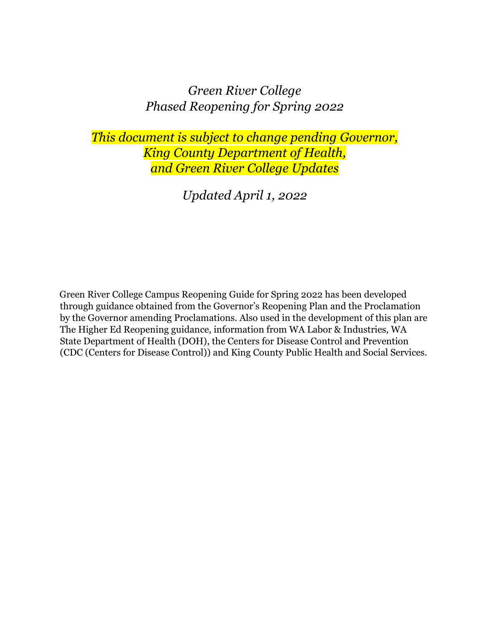# *Green River College Phased Reopening for Spring 2022*

*This document is subject to change pending Governor, King County Department of Health, and Green River College Updates*

*Updated April 1, 2022* 

Green River College Campus Reopening Guide for Spring 2022 has been developed through guidance obtained from the Governor's Reopening Plan and the Proclamation by the Governor amending Proclamations. Also used in the development of this plan are The Higher Ed Reopening guidance, information from WA Labor & Industries, WA State Department of Health (DOH), the Centers for Disease Control and Prevention (CDC (Centers for Disease Control)) and King County Public Health and Social Services.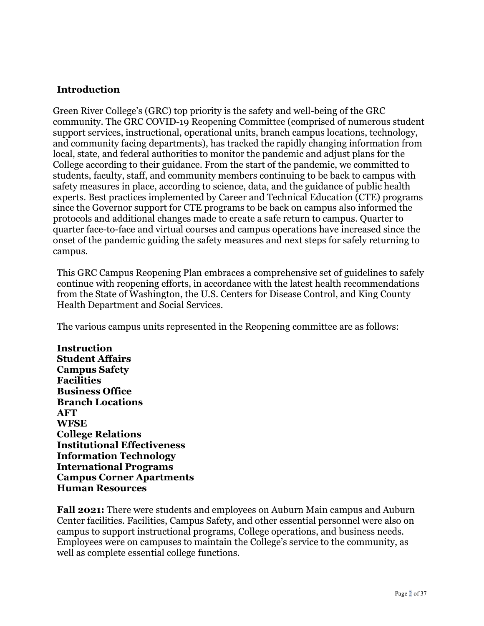#### **Introduction**

Green River College's (GRC) top priority is the safety and well-being of the GRC community. The GRC COVID-19 Reopening Committee (comprised of numerous student support services, instructional, operational units, branch campus locations, technology, and community facing departments), has tracked the rapidly changing information from local, state, and federal authorities to monitor the pandemic and adjust plans for the College according to their guidance. From the start of the pandemic, we committed to students, faculty, staff, and community members continuing to be back to campus with safety measures in place, according to science, data, and the guidance of public health experts. Best practices implemented by Career and Technical Education (CTE) programs since the Governor support for CTE programs to be back on campus also informed the protocols and additional changes made to create a safe return to campus. Quarter to quarter face-to-face and virtual courses and campus operations have increased since the onset of the pandemic guiding the safety measures and next steps for safely returning to campus.

This GRC Campus Reopening Plan embraces a comprehensive set of guidelines to safely continue with reopening efforts, in accordance with the latest health recommendations from the State of Washington, the U.S. Centers for Disease Control, and King County Health Department and Social Services.

The various campus units represented in the Reopening committee are as follows:

**Instruction Student Affairs Campus Safety Facilities Business Office Branch Locations AFT WFSE College Relations Institutional Effectiveness Information Technology International Programs Campus Corner Apartments Human Resources**

**Fall 2021:** There were students and employees on Auburn Main campus and Auburn Center facilities. Facilities, Campus Safety, and other essential personnel were also on campus to support instructional programs, College operations, and business needs. Employees were on campuses to maintain the College's service to the community, as well as complete essential college functions.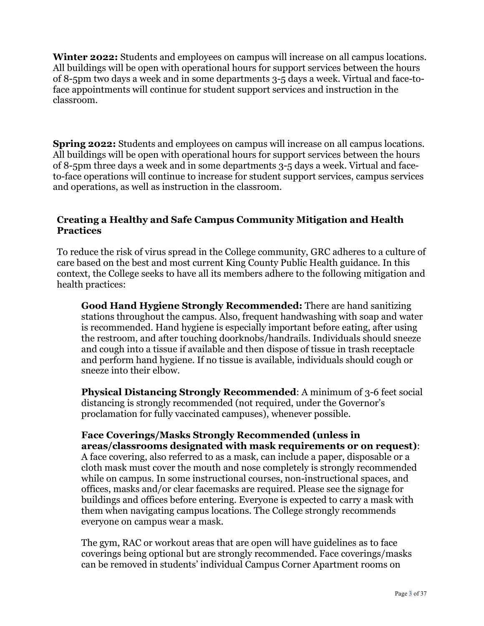**Winter 2022:** Students and employees on campus will increase on all campus locations. All buildings will be open with operational hours for support services between the hours of 8-5pm two days a week and in some departments 3-5 days a week. Virtual and face-toface appointments will continue for student support services and instruction in the classroom.

**Spring 2022:** Students and employees on campus will increase on all campus locations. All buildings will be open with operational hours for support services between the hours of 8-5pm three days a week and in some departments 3-5 days a week. Virtual and faceto-face operations will continue to increase for student support services, campus services and operations, as well as instruction in the classroom.

#### **Creating a Healthy and Safe Campus Community Mitigation and Health Practices**

To reduce the risk of virus spread in the College community, GRC adheres to a culture of care based on the best and most current King County Public Health guidance. In this context, the College seeks to have all its members adhere to the following mitigation and health practices:

**Good Hand Hygiene Strongly Recommended:** There are hand sanitizing stations throughout the campus. Also, frequent handwashing with soap and water is recommended. Hand hygiene is especially important before eating, after using the restroom, and after touching doorknobs/handrails. Individuals should sneeze and cough into a tissue if available and then dispose of tissue in trash receptacle and perform hand hygiene. If no tissue is available, individuals should cough or sneeze into their elbow.

**Physical Distancing Strongly Recommended**: A minimum of 3-6 feet social distancing is strongly recommended (not required, under the Governor's proclamation for fully vaccinated campuses), whenever possible.

#### **Face Coverings/Masks Strongly Recommended (unless in areas/classrooms designated with mask requirements or on request)**: A face covering, also referred to as a mask, can include a paper, disposable or a cloth mask must cover the mouth and nose completely is strongly recommended while on campus. In some instructional courses, non-instructional spaces, and offices, masks and/or clear facemasks are required. Please see the signage for buildings and offices before entering. Everyone is expected to carry a mask with them when navigating campus locations. The College strongly recommends everyone on campus wear a mask.

The gym, RAC or workout areas that are open will have guidelines as to face coverings being optional but are strongly recommended. Face coverings/masks can be removed in students' individual Campus Corner Apartment rooms on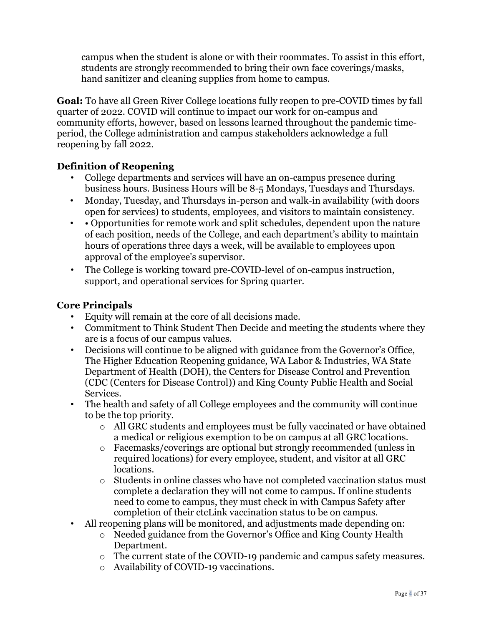campus when the student is alone or with their roommates. To assist in this effort, students are strongly recommended to bring their own face coverings/masks, hand sanitizer and cleaning supplies from home to campus.

**Goal:** To have all Green River College locations fully reopen to pre-COVID times by fall quarter of 2022. COVID will continue to impact our work for on-campus and community efforts, however, based on lessons learned throughout the pandemic timeperiod, the College administration and campus stakeholders acknowledge a full reopening by fall 2022.

# **Definition of Reopening**

- College departments and services will have an on-campus presence during business hours. Business Hours will be 8-5 Mondays, Tuesdays and Thursdays.
- Monday, Tuesday, and Thursdays in-person and walk-in availability (with doors open for services) to students, employees, and visitors to maintain consistency.
- • Opportunities for remote work and split schedules, dependent upon the nature of each position, needs of the College, and each department's ability to maintain hours of operations three days a week, will be available to employees upon approval of the employee's supervisor.
- The College is working toward pre-COVID-level of on-campus instruction, support, and operational services for Spring quarter.

### **Core Principals**

- Equity will remain at the core of all decisions made.
- Commitment to Think Student Then Decide and meeting the students where they are is a focus of our campus values.
- Decisions will continue to be aligned with guidance from the Governor's Office, The Higher Education Reopening guidance, WA Labor & Industries, WA State Department of Health (DOH), the Centers for Disease Control and Prevention (CDC (Centers for Disease Control)) and King County Public Health and Social Services.
- The health and safety of all College employees and the community will continue to be the top priority.
	- o All GRC students and employees must be fully vaccinated or have obtained a medical or religious exemption to be on campus at all GRC locations.
	- o Facemasks/coverings are optional but strongly recommended (unless in required locations) for every employee, student, and visitor at all GRC locations.
	- $\circ$  Students in online classes who have not completed vaccination status must complete a declaration they will not come to campus. If online students need to come to campus, they must check in with Campus Safety after completion of their ctcLink vaccination status to be on campus.
- All reopening plans will be monitored, and adjustments made depending on:
	- o Needed guidance from the Governor's Office and King County Health Department.
	- o The current state of the COVID-19 pandemic and campus safety measures.
	- o Availability of COVID-19 vaccinations.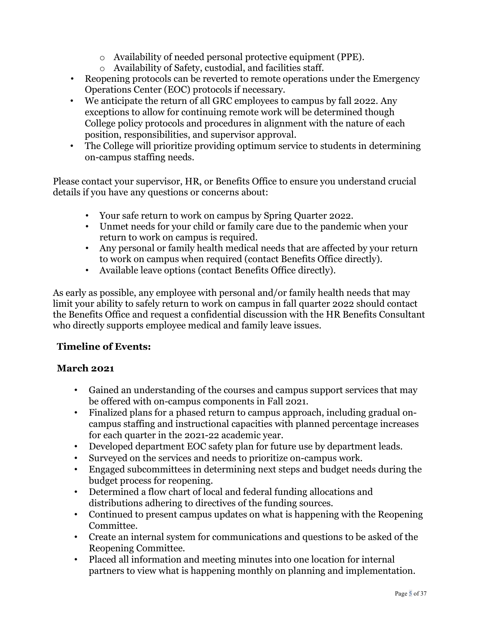- o Availability of needed personal protective equipment (PPE).
- o Availability of Safety, custodial, and facilities staff.
- Reopening protocols can be reverted to remote operations under the Emergency Operations Center (EOC) protocols if necessary.
- We anticipate the return of all GRC employees to campus by fall 2022. Any exceptions to allow for continuing remote work will be determined though College policy protocols and procedures in alignment with the nature of each position, responsibilities, and supervisor approval.
- The College will prioritize providing optimum service to students in determining on-campus staffing needs.

Please contact your supervisor, HR, or Benefits Office to ensure you understand crucial details if you have any questions or concerns about:

- Your safe return to work on campus by Spring Quarter 2022.
- Unmet needs for your child or family care due to the pandemic when your return to work on campus is required.
- Any personal or family health medical needs that are affected by your return to work on campus when required (contact Benefits Office directly).
- Available leave options (contact Benefits Office directly).

As early as possible, any employee with personal and/or family health needs that may limit your ability to safely return to work on campus in fall quarter 2022 should contact the Benefits Office and request a confidential discussion with the HR Benefits Consultant who directly supports employee medical and family leave issues.

### **Timeline of Events:**

### **March 2021**

- Gained an understanding of the courses and campus support services that may be offered with on-campus components in Fall 2021.
- Finalized plans for a phased return to campus approach, including gradual oncampus staffing and instructional capacities with planned percentage increases for each quarter in the 2021-22 academic year.
- Developed department EOC safety plan for future use by department leads.
- Surveyed on the services and needs to prioritize on-campus work.
- Engaged subcommittees in determining next steps and budget needs during the budget process for reopening.
- Determined a flow chart of local and federal funding allocations and distributions adhering to directives of the funding sources.
- Continued to present campus updates on what is happening with the Reopening Committee.
- Create an internal system for communications and questions to be asked of the Reopening Committee.
- Placed all information and meeting minutes into one location for internal partners to view what is happening monthly on planning and implementation.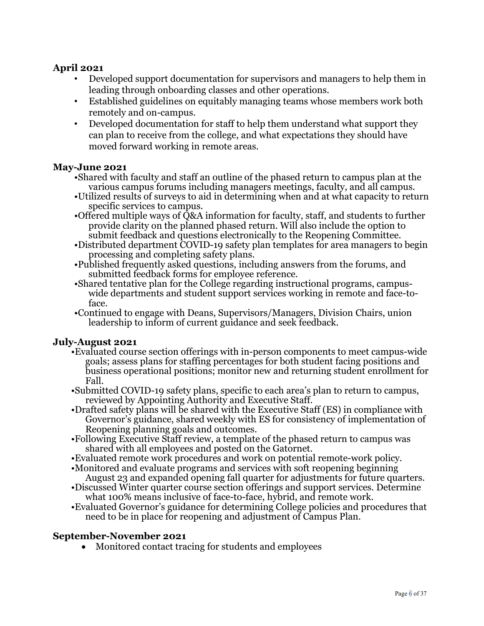#### **April 2021**

- Developed support documentation for supervisors and managers to help them in leading through onboarding classes and other operations.
- Established guidelines on equitably managing teams whose members work both remotely and on-campus.
- Developed documentation for staff to help them understand what support they can plan to receive from the college, and what expectations they should have moved forward working in remote areas.

#### **May-June 2021**

- •Shared with faculty and staff an outline of the phased return to campus plan at the various campus forums including managers meetings, faculty, and all campus.
- •Utilized results of surveys to aid in determining when and at what capacity to return specific services to campus.
- •Offered multiple ways of Q&A information for faculty, staff, and students to further provide clarity on the planned phased return. Will also include the option to submit feedback and questions electronically to the Reopening Committee.
- •Distributed department COVID-19 safety plan templates for area managers to begin processing and completing safety plans.
- •Published frequently asked questions, including answers from the forums, and submitted feedback forms for employee reference.
- •Shared tentative plan for the College regarding instructional programs, campuswide departments and student support services working in remote and face-toface.
- •Continued to engage with Deans, Supervisors/Managers, Division Chairs, union leadership to inform of current guidance and seek feedback.

#### **July-August 2021**

- •Evaluated course section offerings with in-person components to meet campus-wide goals; assess plans for staffing percentages for both student facing positions and business operational positions; monitor new and returning student enrollment for Fall.
- •Submitted COVID-19 safety plans, specific to each area's plan to return to campus, reviewed by Appointing Authority and Executive Staff.
- •Drafted safety plans will be shared with the Executive Staff (ES) in compliance with Governor's guidance, shared weekly with ES for consistency of implementation of Reopening planning goals and outcomes.
- •Following Executive Staff review, a template of the phased return to campus was shared with all employees and posted on the Gatornet.
- •Evaluated remote work procedures and work on potential remote-work policy.
- •Monitored and evaluate programs and services with soft reopening beginning August 23 and expanded opening fall quarter for adjustments for future quarters.
- •Discussed Winter quarter course section offerings and support services. Determine what 100% means inclusive of face-to-face, hybrid, and remote work.
- •Evaluated Governor's guidance for determining College policies and procedures that need to be in place for reopening and adjustment of Campus Plan.

#### **September-November 2021**

• Monitored contact tracing for students and employees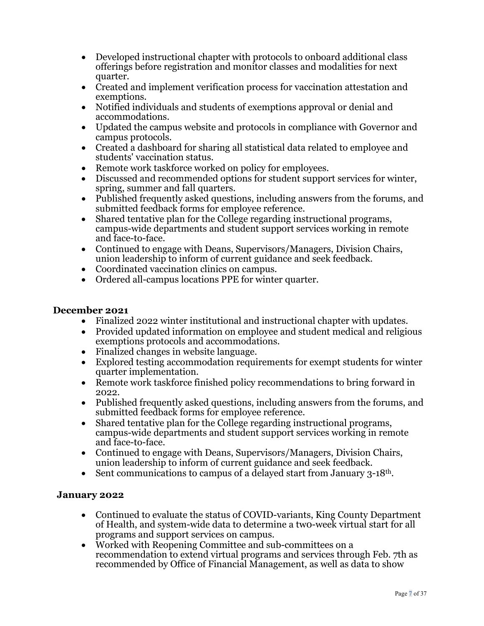- Developed instructional chapter with protocols to onboard additional class offerings before registration and monitor classes and modalities for next quarter.
- Created and implement verification process for vaccination attestation and exemptions.
- Notified individuals and students of exemptions approval or denial and accommodations.
- Updated the campus website and protocols in compliance with Governor and campus protocols.
- Created a dashboard for sharing all statistical data related to employee and students' vaccination status.
- Remote work taskforce worked on policy for employees.
- Discussed and recommended options for student support services for winter, spring, summer and fall quarters.
- Published frequently asked questions, including answers from the forums, and submitted feedback forms for employee reference.
- Shared tentative plan for the College regarding instructional programs, campus-wide departments and student support services working in remote and face-to-face.
- Continued to engage with Deans, Supervisors/Managers, Division Chairs, union leadership to inform of current guidance and seek feedback.
- Coordinated vaccination clinics on campus.
- Ordered all-campus locations PPE for winter quarter.

#### **December 2021**

- Finalized 2022 winter institutional and instructional chapter with updates.
- Provided updated information on employee and student medical and religious exemptions protocols and accommodations.
- Finalized changes in website language.
- Explored testing accommodation requirements for exempt students for winter quarter implementation.
- Remote work taskforce finished policy recommendations to bring forward in 2022.
- Published frequently asked questions, including answers from the forums, and submitted feedback forms for employee reference.
- Shared tentative plan for the College regarding instructional programs, campus-wide departments and student support services working in remote and face-to-face.
- Continued to engage with Deans, Supervisors/Managers, Division Chairs, union leadership to inform of current guidance and seek feedback.
- Sent communications to campus of a delayed start from January 3-18th.

#### **January 2022**

- Continued to evaluate the status of COVID-variants, King County Department of Health, and system-wide data to determine a tw0-week virtual start for all programs and support services on campus.
- Worked with Reopening Committee and sub-committees on a recommendation to extend virtual programs and services through Feb. 7th as recommended by Office of Financial Management, as well as data to show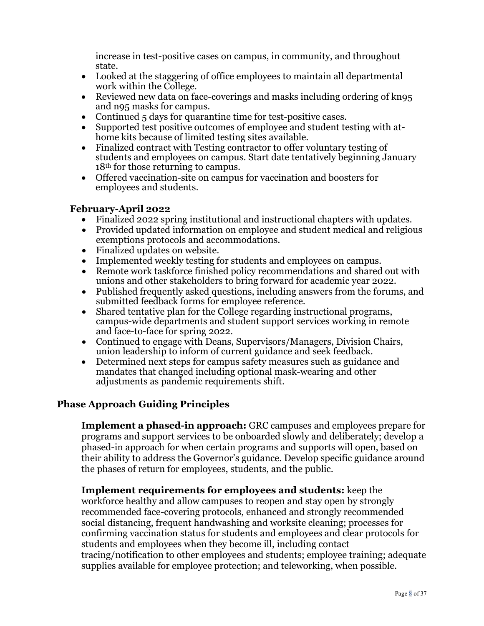increase in test-positive cases on campus, in community, and throughout state.

- Looked at the staggering of office employees to maintain all departmental work within the College.
- Reviewed new data on face-coverings and masks including ordering of kn95 and n95 masks for campus.
- Continued 5 days for quarantine time for test-positive cases.
- Supported test positive outcomes of employee and student testing with athome kits because of limited testing sites available.
- Finalized contract with Testing contractor to offer voluntary testing of students and employees on campus. Start date tentatively beginning January 18th for those returning to campus.
- Offered vaccination-site on campus for vaccination and boosters for employees and students.

#### **February-April 2022**

- Finalized 2022 spring institutional and instructional chapters with updates.
- Provided updated information on employee and student medical and religious exemptions protocols and accommodations.
- Finalized updates on website.
- Implemented weekly testing for students and employees on campus.
- Remote work taskforce finished policy recommendations and shared out with unions and other stakeholders to bring forward for academic year 2022.
- Published frequently asked questions, including answers from the forums, and submitted feedback forms for employee reference.
- Shared tentative plan for the College regarding instructional programs, campus-wide departments and student support services working in remote and face-to-face for spring 2022.
- Continued to engage with Deans, Supervisors/Managers, Division Chairs, union leadership to inform of current guidance and seek feedback.
- Determined next steps for campus safety measures such as guidance and mandates that changed including optional mask-wearing and other adjustments as pandemic requirements shift.

### **Phase Approach Guiding Principles**

**Implement a phased-in approach:** GRC campuses and employees prepare for programs and support services to be onboarded slowly and deliberately; develop a phased-in approach for when certain programs and supports will open, based on their ability to address the Governor's guidance. Develop specific guidance around the phases of return for employees, students, and the public.

**Implement requirements for employees and students:** keep the workforce healthy and allow campuses to reopen and stay open by strongly recommended face-covering protocols, enhanced and strongly recommended social distancing, frequent handwashing and worksite cleaning; processes for confirming vaccination status for students and employees and clear protocols for students and employees when they become ill, including contact tracing/notification to other employees and students; employee training; adequate supplies available for employee protection; and teleworking, when possible.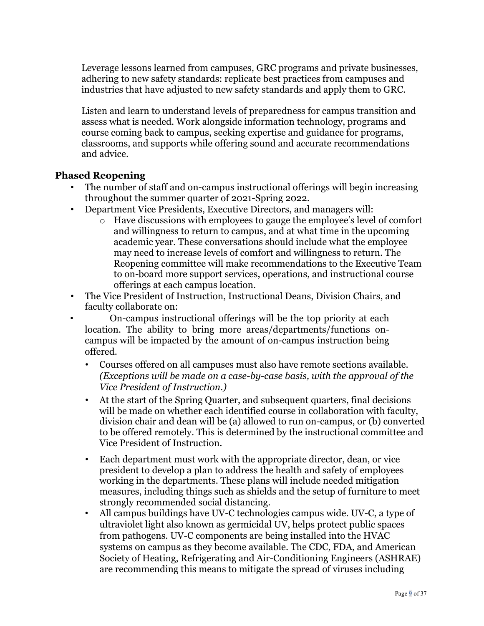Leverage lessons learned from campuses, GRC programs and private businesses, adhering to new safety standards: replicate best practices from campuses and industries that have adjusted to new safety standards and apply them to GRC.

Listen and learn to understand levels of preparedness for campus transition and assess what is needed. Work alongside information technology, programs and course coming back to campus, seeking expertise and guidance for programs, classrooms, and supports while offering sound and accurate recommendations and advice.

#### **Phased Reopening**

- The number of staff and on-campus instructional offerings will begin increasing throughout the summer quarter of 2021-Spring 2022.
- Department Vice Presidents, Executive Directors, and managers will:
	- o Have discussions with employees to gauge the employee's level of comfort and willingness to return to campus, and at what time in the upcoming academic year. These conversations should include what the employee may need to increase levels of comfort and willingness to return. The Reopening committee will make recommendations to the Executive Team to on-board more support services, operations, and instructional course offerings at each campus location.
- The Vice President of Instruction, Instructional Deans, Division Chairs, and faculty collaborate on:
- On-campus instructional offerings will be the top priority at each location. The ability to bring more areas/departments/functions oncampus will be impacted by the amount of on-campus instruction being offered.
	- Courses offered on all campuses must also have remote sections available. *(Exceptions will be made on a case-by-case basis, with the approval of the Vice President of Instruction.)*
	- At the start of the Spring Quarter, and subsequent quarters, final decisions will be made on whether each identified course in collaboration with faculty, division chair and dean will be (a) allowed to run on-campus, or (b) converted to be offered remotely. This is determined by the instructional committee and Vice President of Instruction.
	- Each department must work with the appropriate director, dean, or vice president to develop a plan to address the health and safety of employees working in the departments. These plans will include needed mitigation measures, including things such as shields and the setup of furniture to meet strongly recommended social distancing.
	- All campus buildings have UV-C technologies campus wide. UV-C, a type of ultraviolet light also known as germicidal UV, helps protect public spaces from pathogens. UV-C components are being installed into the HVAC systems on campus as they become available. The CDC, FDA, and American Society of Heating, Refrigerating and Air-Conditioning Engineers (ASHRAE) are recommending this means to mitigate the spread of viruses including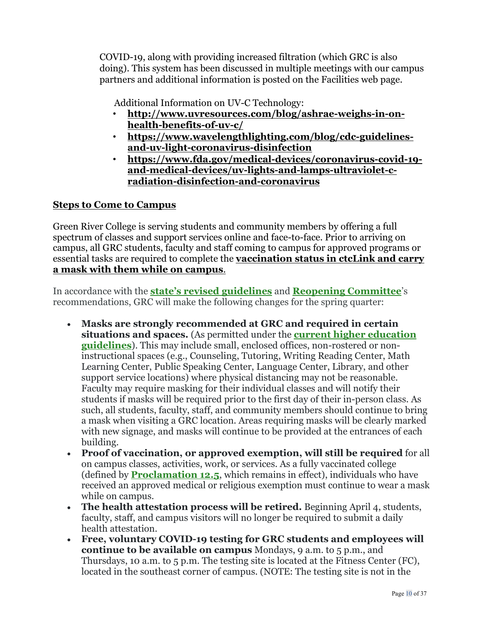COVID-19, along with providing increased filtration (which GRC is also doing). This system has been discussed in multiple meetings with our campus partners and additional information is posted on the Facilities web page.

Additional Information on UV-C Technology:

- **[http://www.uvresources.com/blog/ashrae-weighs-in-on](http://www.uvresources.com/blog/ashrae-weighs-in-on-health-benefits-of-uv-c/)[health-benefits-of-uv-c/](http://www.uvresources.com/blog/ashrae-weighs-in-on-health-benefits-of-uv-c/)**
- **[https://www.wavelengthlighting.com/blog/cdc-guidelines](https://www.wavelengthlighting.com/blog/cdc-guidelines-and-uv-light-coronavirus-disinfection)[and-uv-light-coronavirus-disinfection](https://www.wavelengthlighting.com/blog/cdc-guidelines-and-uv-light-coronavirus-disinfection)**
- **[https://www.fda.gov/medical-devices/coronavirus-covid-19](http://applewebdata/2BCBF50D-B5CB-4A04-B1FA-1B2AFA3779B3/FDA-%20UV-C%20lights) [and-medical-devices/uv-lights-and-lamps-ultraviolet-c](http://applewebdata/2BCBF50D-B5CB-4A04-B1FA-1B2AFA3779B3/FDA-%20UV-C%20lights)[radiation-disinfection-and-coronavirus](http://applewebdata/2BCBF50D-B5CB-4A04-B1FA-1B2AFA3779B3/FDA-%20UV-C%20lights)**

### **Steps to Come to Campus**

Green River College is serving students and community members by offering a full spectrum of classes and support services online and face-to-face. Prior to arriving on campus, all GRC students, faculty and staff coming to campus for approved programs or essential tasks are required to complete the **vaccination status in ctcLink and carry a mask with them while on campus**.

In accordance with the **[state's revised guidelines](https://doh.wa.gov/sites/default/files/legacy/Documents/1600/coronavirus/HigherEducation.pdf)** and **[Reopening Committee](https://greenriveredu.sharepoint.com/sites/GN-reopening)**'s recommendations, GRC will make the following changes for the spring quarter:

- **Masks are strongly recommended at GRC and required in certain situations and spaces.** (As permitted under the **[current higher education](https://doh.wa.gov/sites/default/files/legacy/Documents/1600/coronavirus/HigherEducation.pdf)  [guidelines](https://doh.wa.gov/sites/default/files/legacy/Documents/1600/coronavirus/HigherEducation.pdf)**). This may include small, enclosed offices, non-rostered or noninstructional spaces (e.g., Counseling, Tutoring, Writing Reading Center, Math Learning Center, Public Speaking Center, Language Center, Library, and other support service locations) where physical distancing may not be reasonable. Faculty may require masking for their individual classes and will notify their students if masks will be required prior to the first day of their in-person class. As such, all students, faculty, staff, and community members should continue to bring a mask when visiting a GRC location. Areas requiring masks will be clearly marked with new signage, and masks will continue to be provided at the entrances of each building.
- **Proof of vaccination, or approved exemption, will still be required** for all on campus classes, activities, work, or services. As a fully vaccinated college (defined by **[Proclamation 12.5](https://www.governor.wa.gov/sites/default/files/proclamations/proc_20-12.5.pdf)**, which remains in effect), individuals who have received an approved medical or religious exemption must continue to wear a mask while on campus.
- **The health attestation process will be retired.** Beginning April 4, students, faculty, staff, and campus visitors will no longer be required to submit a daily health attestation.
- **Free, voluntary COVID-19 testing for GRC students and employees will continue to be available on campus** Mondays, 9 a.m. to 5 p.m., and Thursdays, 10 a.m. to 5 p.m. The testing site is located at the Fitness Center (FC), located in the southeast corner of campus. (NOTE: The testing site is not in the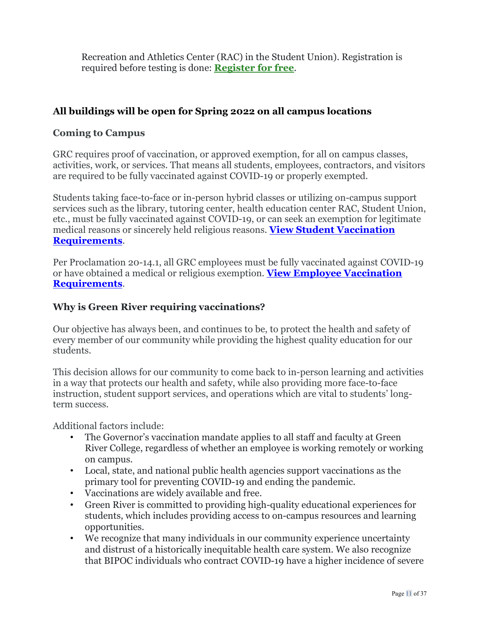Recreation and Athletics Center (RAC) in the Student Union). Registration is required before testing is done: **[Register for free](https://covid19.altius.org/pr/greenriver)**.

# **All buildings will be open for Spring 2022 on all campus locations**

### **Coming to Campus**

GRC requires proof of vaccination, or approved exemption, for all on campus classes, activities, work, or services. That means all students, employees, contractors, and visitors are required to be fully vaccinated against COVID-19 or properly exempted.

Students taking face-to-face or in-person hybrid classes or utilizing on-campus support services such as the library, tutoring center, health education center RAC, Student Union, etc., must be fully vaccinated against COVID-19, or can seek an exemption for legitimate medical reasons or sincerely held religious reasons. **[View Student Vaccination](https://www.greenriver.edu/covid-19/vaccination-requirements/students/)  [Requirements](https://www.greenriver.edu/covid-19/vaccination-requirements/students/)**.

Per Proclamation 20-14.1, all GRC employees must be fully vaccinated against COVID-19 or have obtained a medical or religious exemption. **[View Employee Vaccination](https://www.greenriver.edu/covid-19/vaccination-requirements/employees/)  [Requirements](https://www.greenriver.edu/covid-19/vaccination-requirements/employees/)**.

# **Why is Green River requiring vaccinations?**

Our objective has always been, and continues to be, to protect the health and safety of every member of our community while providing the highest quality education for our students.

This decision allows for our community to come back to in-person learning and activities in a way that protects our health and safety, while also providing more face-to-face instruction, student support services, and operations which are vital to students' longterm success.

Additional factors include:

- The Governor's vaccination mandate applies to all staff and faculty at Green River College, regardless of whether an employee is working remotely or working on campus.
- Local, state, and national public health agencies support vaccinations as the primary tool for preventing COVID-19 and ending the pandemic.
- Vaccinations are widely available and free.
- Green River is committed to providing high-quality educational experiences for students, which includes providing access to on-campus resources and learning opportunities.
- We recognize that many individuals in our community experience uncertainty and distrust of a historically inequitable health care system. We also recognize that BIPOC individuals who contract COVID-19 have a higher incidence of severe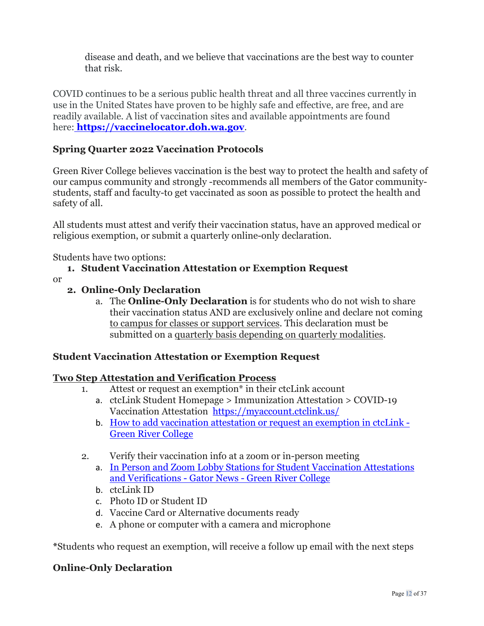disease and death, and we believe that vaccinations are the best way to counter that risk.

COVID continues to be a serious public health threat and all three vaccines currently in use in the United States have proven to be highly safe and effective, are free, and are readily available. A list of vaccination sites and available appointments are found here: **[https://vaccinelocator.doh.wa.gov](https://vaccinelocator.doh.wa.gov/)**.

# **Spring Quarter 2022 Vaccination Protocols**

Green River College believes vaccination is the best way to protect the health and safety of our campus community and strongly -recommends all members of the Gator communitystudents, staff and faculty-to get vaccinated as soon as possible to protect the health and safety of all.

All students must attest and verify their vaccination status, have an approved medical or religious exemption, or submit a quarterly online-only declaration.

Students have two options:

### **1. Student Vaccination Attestation or Exemption Request**

or

#### **2. Online-Only Declaration**

a. The **Online-Only Declaration** is for students who do not wish to share their vaccination status AND are exclusively online and declare not coming to campus for classes or support services. This declaration must be submitted on a quarterly basis depending on quarterly modalities.

#### **Student Vaccination Attestation or Exemption Request**

#### **Two Step Attestation and Verification Process**

- 1. Attest or request an exemption\* in their ctcLink account
	- a. ctcLink Student Homepage > Immunization Attestation > COVID-19 Vaccination Attestation [https://myaccount.ctclink.us/](https://nam12.safelinks.protection.outlook.com/?url=https%3A%2F%2Fmyaccount.ctclink.us%2F&data=04%7C01%7Cdcasey%40greenriver.edu%7C05097d6be2974e7c2e1e08d9b62b9555%7Cfa40663e972749789bce776cf824bca5%7C0%7C0%7C637741120575430044%7CUnknown%7CTWFpbGZsb3d8eyJWIjoiMC4wLjAwMDAiLCJQIjoiV2luMzIiLCJBTiI6Ik1haWwiLCJXVCI6Mn0%3D%7C3000&sdata=2M%2BlzjzJ7HscoU7TzdB7fz620LPUUcJpySzIoCvAEVY%3D&reserved=0)
	- b. [How to add vaccination attestation or request an exemption in ctcLink -](https://www.greenriver.edu/covid-19/vaccination-requirements/attestation-ctclink/) [Green River College](https://www.greenriver.edu/covid-19/vaccination-requirements/attestation-ctclink/)
- 2. Verify their vaccination info at a zoom or in-person meeting
	- a. [In Person and Zoom Lobby Stations for Student Vaccination Attestations](https://www.greenriver.edu/gator-news/articles/in-person-and-zoom-lobby-stations-for-student-vaccination-attestations-and-verifications)  and Verifications - Gator News - [Green River College](https://www.greenriver.edu/gator-news/articles/in-person-and-zoom-lobby-stations-for-student-vaccination-attestations-and-verifications)
	- b. ctcLink ID
	- c. Photo ID or Student ID
	- d. Vaccine Card or Alternative documents ready
	- e. A phone or computer with a camera and microphone

**\***Students who request an exemption, will receive a follow up email with the next steps

### **Online-Only Declaration**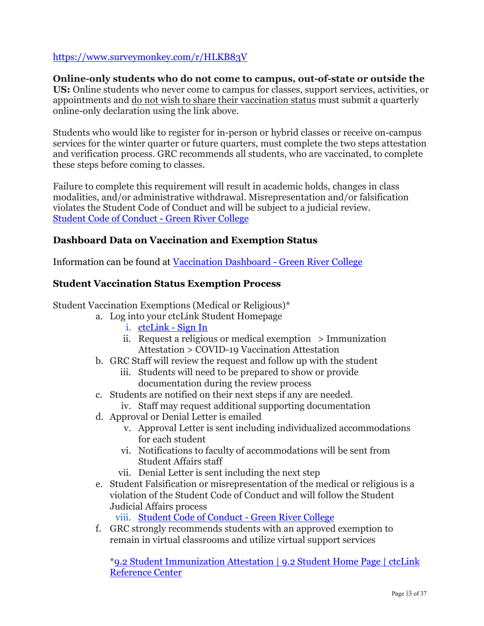# [https://www.surveymonkey.com/r/HLKB83V](https://nam12.safelinks.protection.outlook.com/?url=https%3A%2F%2Fwww.surveymonkey.com%2Fr%2FHLKB83V&data=04%7C01%7Cdcasey%40greenriver.edu%7C05097d6be2974e7c2e1e08d9b62b9555%7Cfa40663e972749789bce776cf824bca5%7C0%7C0%7C637741120575439999%7CUnknown%7CTWFpbGZsb3d8eyJWIjoiMC4wLjAwMDAiLCJQIjoiV2luMzIiLCJBTiI6Ik1haWwiLCJXVCI6Mn0%3D%7C3000&sdata=oDUeJdpqXnI7uv2dzbXTQp1vawqZPkeicWiVDp7YZKQ%3D&reserved=0)

# **Online-only students who do not come to campus, out-of-state or outside the**

**US:** Online students who never come to campus for classes, support services, activities, or appointments and do not wish to share their vaccination status must submit a quarterly online-only declaration using the link above.

Students who would like to register for in-person or hybrid classes or receive on-campus services for the winter quarter or future quarters, must complete the two steps attestation and verification process. GRC recommends all students, who are vaccinated, to complete these steps before coming to classes.

Failure to complete this requirement will result in academic holds, changes in class modalities, and/or administrative withdrawal. Misrepresentation and/or falsification violates the Student Code of Conduct and will be subject to a judicial review. [Student Code of Conduct -](https://www.greenriver.edu/conduct/) Green River College

#### **Dashboard Data on Vaccination and Exemption Status**

Information can be found at [Vaccination Dashboard -](https://www.greenriver.edu/coronavirus/vaccination-dashboard/) Green River College

#### **Student Vaccination Status Exemption Process**

Student Vaccination Exemptions (Medical or Religious)\*

- a. Log into your ctcLink Student Homepage
	- i. [ctcLink -](https://nam12.safelinks.protection.outlook.com/?url=https%3A%2F%2Fmyaccount.ctclink.us%2F&data=04%7C01%7Cdcasey%40greenriver.edu%7C8bb7aa7b38134c792bde08d9a95c34b6%7Cfa40663e972749789bce776cf824bca5%7C0%7C0%7C637727035762316936%7CUnknown%7CTWFpbGZsb3d8eyJWIjoiMC4wLjAwMDAiLCJQIjoiV2luMzIiLCJBTiI6Ik1haWwiLCJXVCI6Mn0%3D%7C3000&sdata=y680nD5HgBW9hBM8uTVJd69tfE0H3ZxgO9fhEcTTikI%3D&reserved=0) Sign In
	- ii. Request a religious or medical exemption > Immunization Attestation > COVID-19 Vaccination Attestation
- b. GRC Staff will review the request and follow up with the student
	- iii. Students will need to be prepared to show or provide documentation during the review process
- c. Students are notified on their next steps if any are needed.
	- iv. Staff may request additional supporting documentation
- d. Approval or Denial Letter is emailed
	- v. Approval Letter is sent including individualized accommodations for each student
	- vi. Notifications to faculty of accommodations will be sent from Student Affairs staff
	- vii. Denial Letter is sent including the next step
- e. Student Falsification or misrepresentation of the medical or religious is a violation of the Student Code of Conduct and will follow the Student Judicial Affairs process

viii. [Student Code of Conduct -](https://www.greenriver.edu/conduct/) Green River College

f. GRC strongly recommends students with an approved exemption to remain in virtual classrooms and utilize virtual support services

[\\*9.2 Student Immunization Attestation | 9.2 Student Home Page | ctcLink](https://nam12.safelinks.protection.outlook.com/?url=http%3A%2F%2Fctclinkreferencecenter.ctclink.us%2Fm%2F79750%2Fl%2F1440196-9-2-student-immunization-attestation&data=04%7C01%7Cdcasey%40greenriver.edu%7C8bb7aa7b38134c792bde08d9a95c34b6%7Cfa40663e972749789bce776cf824bca5%7C0%7C0%7C637727035762326898%7CUnknown%7CTWFpbGZsb3d8eyJWIjoiMC4wLjAwMDAiLCJQIjoiV2luMzIiLCJBTiI6Ik1haWwiLCJXVCI6Mn0%3D%7C3000&sdata=MIfYUv9CqOmVpk2A1GAiL4rfXDs%2FenTF%2FDi2iqB3LDI%3D&reserved=0)  Reference Center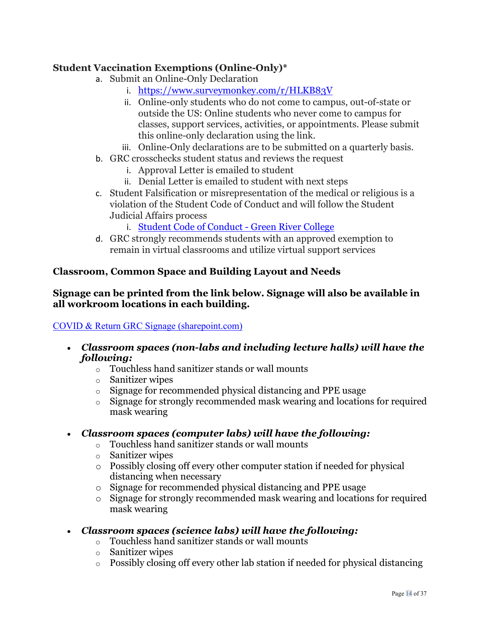# **Student Vaccination Exemptions (Online-Only)\***

- a. Submit an Online-Only Declaration
	- i. [https://www.surveymonkey.com/r/HLKB83V](https://nam12.safelinks.protection.outlook.com/?url=https%3A%2F%2Fwww.surveymonkey.com%2Fr%2FHLKB83V&data=04%7C01%7Cdcasey%40greenriver.edu%7C8bb7aa7b38134c792bde08d9a95c34b6%7Cfa40663e972749789bce776cf824bca5%7C0%7C0%7C637727035762326898%7CUnknown%7CTWFpbGZsb3d8eyJWIjoiMC4wLjAwMDAiLCJQIjoiV2luMzIiLCJBTiI6Ik1haWwiLCJXVCI6Mn0%3D%7C3000&sdata=lhlj6Jq3UwiAFcAmx73rtJNdepU%2FIOLWAuznZnfhHn0%3D&reserved=0)
	- ii. Online-only students who do not come to campus, out-of-state or outside the US: Online students who never come to campus for classes, support services, activities, or appointments. Please submit this online-only declaration using the link.
	- iii. Online-Only declarations are to be submitted on a quarterly basis.
- b. GRC crosschecks student status and reviews the request
	- i. Approval Letter is emailed to student
	- ii. Denial Letter is emailed to student with next steps
- c. Student Falsification or misrepresentation of the medical or religious is a violation of the Student Code of Conduct and will follow the Student Judicial Affairs process
	- i. [Student Code of Conduct -](https://www.greenriver.edu/conduct/) Green River College
- d. GRC strongly recommends students with an approved exemption to remain in virtual classrooms and utilize virtual support services

#### **Classroom, Common Space and Building Layout and Needs**

#### **Signage can be printed from the link below. Signage will also be available in all workroom locations in each building.**

#### [COVID & Return GRC Signage \(sharepoint.com\)](https://greenriveredu.sharepoint.com/sites/GN-Reopening/SitePages/COVID-Signage.aspx?CT=1648518409530&OR=OWA-NT&CID=f2bf21e0-cffc-4b64-effd-59027538d95a)

- *Classroom spaces (non-labs and including lecture halls) will have the following:*
	- o Touchless hand sanitizer stands or wall mounts
	- o Sanitizer wipes
	- o Signage for recommended physical distancing and PPE usage
	- o Signage for strongly recommended mask wearing and locations for required mask wearing

#### • *Classroom spaces (computer labs) will have the following:*

- o Touchless hand sanitizer stands or wall mounts
- o Sanitizer wipes
- o Possibly closing off every other computer station if needed for physical distancing when necessary
- o Signage for recommended physical distancing and PPE usage
- o Signage for strongly recommended mask wearing and locations for required mask wearing
- *Classroom spaces (science labs) will have the following:*
	- o Touchless hand sanitizer stands or wall mounts
	- o Sanitizer wipes
	- o Possibly closing off every other lab station if needed for physical distancing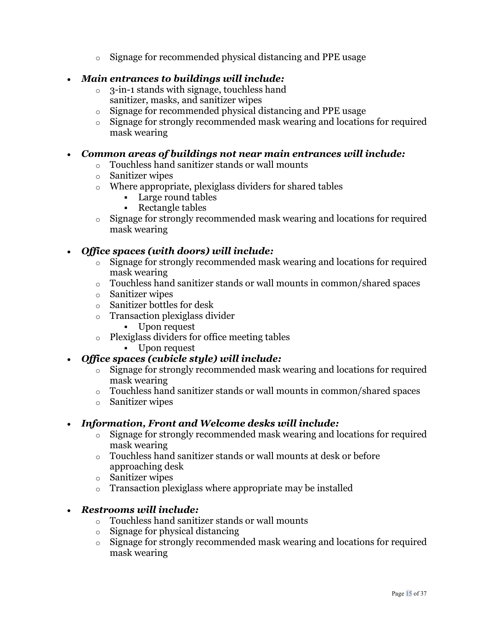o Signage for recommended physical distancing and PPE usage

# • *Main entrances to buildings will include:*

- o 3-in-1 stands with signage, touchless hand sanitizer, masks, and sanitizer wipes
- o Signage for recommended physical distancing and PPE usage
- o Signage for strongly recommended mask wearing and locations for required mask wearing

### • *Common areas of buildings not near main entrances will include:*

- o Touchless hand sanitizer stands or wall mounts
- o Sanitizer wipes
- o Where appropriate, plexiglass dividers for shared tables
	- Large round tables
	- Rectangle tables
- o Signage for strongly recommended mask wearing and locations for required mask wearing

#### • *Office spaces (with doors) will include:*

- o Signage for strongly recommended mask wearing and locations for required mask wearing
- o Touchless hand sanitizer stands or wall mounts in common/shared spaces
- o Sanitizer wipes
- o Sanitizer bottles for desk
- o Transaction plexiglass divider
	- Upon request
- o Plexiglass dividers for office meeting tables
	- Upon request

### • *Office spaces (cubicle style) will include:*

- o Signage for strongly recommended mask wearing and locations for required mask wearing
- o Touchless hand sanitizer stands or wall mounts in common/shared spaces
- o Sanitizer wipes

### • *Information, Front and Welcome desks will include:*

- o Signage for strongly recommended mask wearing and locations for required mask wearing
- o Touchless hand sanitizer stands or wall mounts at desk or before approaching desk
- o Sanitizer wipes
- o Transaction plexiglass where appropriate may be installed

#### • *Restrooms will include:*

- o Touchless hand sanitizer stands or wall mounts
- o Signage for physical distancing
- o Signage for strongly recommended mask wearing and locations for required mask wearing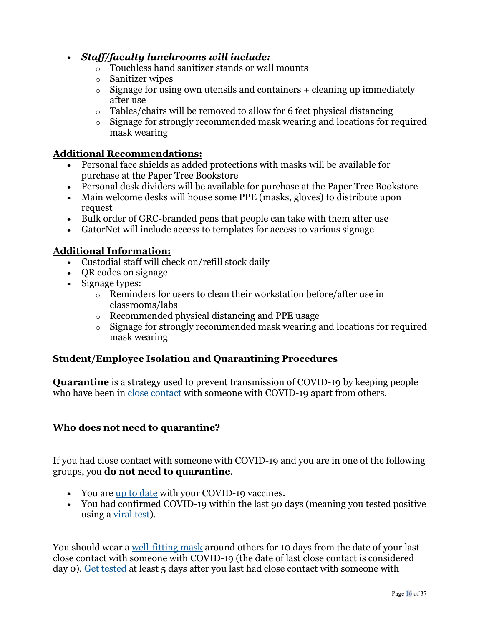- *Staff/faculty lunchrooms will include:*
	- o Touchless hand sanitizer stands or wall mounts
	- o Sanitizer wipes
	- $\circ$  Signage for using own utensils and containers + cleaning up immediately after use
	- $\circ$  Tables/chairs will be removed to allow for 6 feet physical distancing
	- o Signage for strongly recommended mask wearing and locations for required mask wearing

#### **Additional Recommendations:**

- Personal face shields as added protections with masks will be available for purchase at the Paper Tree Bookstore
- Personal desk dividers will be available for purchase at the Paper Tree Bookstore
- Main welcome desks will house some PPE (masks, gloves) to distribute upon request
- Bulk order of GRC-branded pens that people can take with them after use
- GatorNet will include access to templates for access to various signage

#### **Additional Information:**

- Custodial staff will check on/refill stock daily
- QR codes on signage
- Signage types:
	- o Reminders for users to clean their workstation before/after use in classrooms/labs
	- o Recommended physical distancing and PPE usage
	- o Signage for strongly recommended mask wearing and locations for required mask wearing

#### **Student/Employee Isolation and Quarantining Procedures**

**Quarantine** is a strategy used to prevent transmission of COVID-19 by keeping people who have been in [close contact](https://www.cdc.gov/coronavirus/2019-ncov/php/contact-tracing/contact-tracing-plan/appendix.html#contact) with someone with COVID-19 apart from others.

#### **Who does not need to quarantine?**

If you had close contact with someone with COVID-19 and you are in one of the following groups, you **do not need to quarantine**.

- You are [up to date](https://www.cdc.gov/coronavirus/2019-ncov/vaccines/stay-up-to-date.html) with your COVID-19 vaccines.
- You had confirmed COVID-19 within the last 90 days (meaning you tested positive using a [viral test\)](https://www.cdc.gov/coronavirus/2019-ncov/symptoms-testing/testing.html).

You should wear a [well-fitting mask](https://www.cdc.gov/coronavirus/2019-ncov/your-health/effective-masks.html) around others for 10 days from the date of your last close contact with someone with COVID-19 (the date of last close contact is considered day 0). [Get tested](https://www.cdc.gov/coronavirus/2019-ncov/testing/diagnostic-testing.html) at least 5 days after you last had close contact with someone with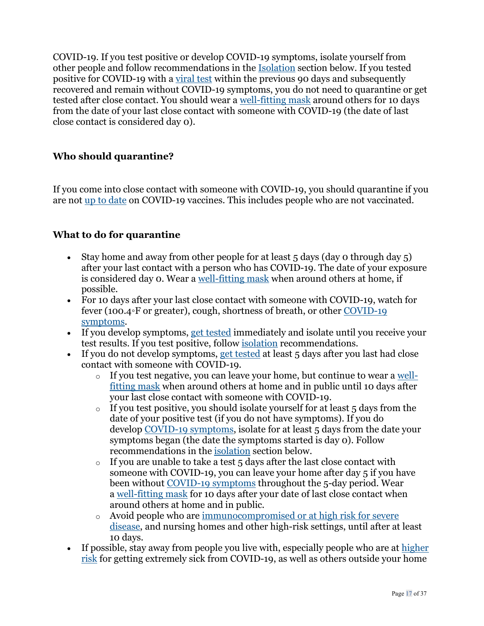COVID-19. If you test positive or develop COVID-19 symptoms, isolate yourself from other people and follow recommendations in the [Isolation](https://www.cdc.gov/coronavirus/2019-ncov/your-health/quarantine-isolation.html#isolate) section below. If you tested positive for COVID-19 with a [viral test](https://www.cdc.gov/coronavirus/2019-ncov/symptoms-testing/testing.html) within the previous 90 days and subsequently recovered and remain without COVID-19 symptoms, you do not need to quarantine or get tested after close contact. You should wear a [well-fitting mask](https://www.cdc.gov/coronavirus/2019-ncov/your-health/effective-masks.html) around others for 10 days from the date of your last close contact with someone with COVID-19 (the date of last close contact is considered day 0).

# **Who should quarantine?**

If you come into close contact with someone with COVID-19, you should quarantine if you are not [up to date](https://www.cdc.gov/coronavirus/2019-ncov/vaccines/stay-up-to-date.html) on COVID-19 vaccines. This includes people who are not vaccinated.

# **What to do for quarantine**

- Stay home and away from other people for at least  $5$  days (day 0 through day  $5$ ) after your last contact with a person who has COVID-19. The date of your exposure is considered day 0. Wear a [well-fitting mask](https://www.cdc.gov/coronavirus/2019-ncov/your-health/effective-masks.html) when around others at home, if possible.
- For 10 days after your last close contact with someone with COVID-19, watch for fever (100.4◦F or greater), cough, shortness of breath, or other [COVID-19](https://www.cdc.gov/coronavirus/2019-ncov/symptoms-testing/symptoms.html)  [symptoms.](https://www.cdc.gov/coronavirus/2019-ncov/symptoms-testing/symptoms.html)
- If you develop symptoms, [get tested](https://www.cdc.gov/coronavirus/2019-ncov/testing/diagnostic-testing.html) immediately and isolate until you receive your test results. If you test positive, follow [isolation](https://www.cdc.gov/coronavirus/2019-ncov/your-health/quarantine-isolation.html#isolate) recommendations.
- If you do not develop symptoms, [get tested](https://www.cdc.gov/coronavirus/2019-ncov/testing/diagnostic-testing.html) at least 5 days after you last had close contact with someone with COVID-19.
	- o If you test negative, you can leave your home, but continue to wear a [well](https://www.cdc.gov/coronavirus/2019-ncov/your-health/effective-masks.html)[fitting mask](https://www.cdc.gov/coronavirus/2019-ncov/your-health/effective-masks.html) when around others at home and in public until 10 days after your last close contact with someone with COVID-19.
	- If you test positive, you should isolate yourself for at least 5 days from the date of your positive test (if you do not have symptoms). If you do develop [COVID-19 symptoms,](https://www.cdc.gov/coronavirus/2019-ncov/symptoms-testing/symptoms.html) isolate for at least 5 days from the date your symptoms began (the date the symptoms started is day 0). Follow recommendations in the [isolation](https://www.cdc.gov/coronavirus/2019-ncov/your-health/quarantine-isolation.html#isolate) section below.
	- $\circ$  If you are unable to take a test 5 days after the last close contact with someone with COVID-19, you can leave your home after day 5 if you have been without [COVID-19 symptoms](https://www.cdc.gov/coronavirus/2019-ncov/symptoms-testing/symptoms.html) throughout the 5-day period. Wear a [well-fitting mask](https://www.cdc.gov/coronavirus/2019-ncov/your-health/effective-masks.html) for 10 days after your date of last close contact when around others at home and in public.
	- o Avoid people who are [immunocompromised or at high risk for severe](https://www.cdc.gov/coronavirus/2019-ncov/need-extra-precautions/people-with-medical-conditions.html)  [disease,](https://www.cdc.gov/coronavirus/2019-ncov/need-extra-precautions/people-with-medical-conditions.html) and nursing homes and other high-risk settings, until after at least 10 days.
- If possible, stay away from people you live with, especially people who are at higher [risk](https://www.cdc.gov/coronavirus/2019-ncov/need-extra-precautions/index.html) for getting extremely sick from COVID-19, as well as others outside your home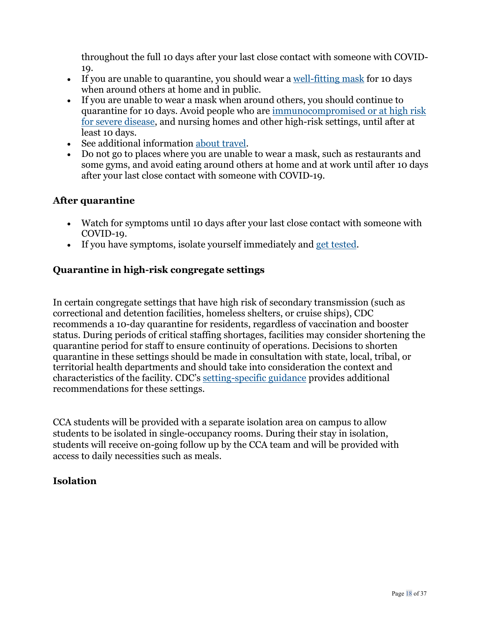throughout the full 10 days after your last close contact with someone with COVID-19.

- If you are unable to quarantine, you should wear a [well-fitting mask](https://www.cdc.gov/coronavirus/2019-ncov/your-health/effective-masks.html) for 10 days when around others at home and in public.
- If you are unable to wear a mask when around others, you should continue to quarantine for 10 days. Avoid people who are [immunocompromised or at high risk](https://www.cdc.gov/coronavirus/2019-ncov/need-extra-precautions/people-with-medical-conditions.html)  [for severe disease,](https://www.cdc.gov/coronavirus/2019-ncov/need-extra-precautions/people-with-medical-conditions.html) and nursing homes and other high-risk settings, until after at least 10 days.
- See additional information [about travel.](https://www.cdc.gov/coronavirus/2019-ncov/travelers/index.html#do-not-travel)
- Do not go to places where you are unable to wear a mask, such as restaurants and some gyms, and avoid eating around others at home and at work until after 10 days after your last close contact with someone with COVID-19.

#### **After quarantine**

- Watch for symptoms until 10 days after your last close contact with someone with COVID-19.
- If you have symptoms, isolate yourself immediately and [get tested.](https://www.cdc.gov/coronavirus/2019-ncov/testing/diagnostic-testing.html)

# **Quarantine in high-risk congregate settings**

In certain congregate settings that have high risk of secondary transmission (such as correctional and detention facilities, homeless shelters, or cruise ships), CDC recommends a 10-day quarantine for residents, regardless of vaccination and booster status. During periods of critical staffing shortages, facilities may consider shortening the quarantine period for staff to ensure continuity of operations. Decisions to shorten quarantine in these settings should be made in consultation with state, local, tribal, or territorial health departments and should take into consideration the context and characteristics of the facility. CDC's [setting-specific guidance](https://www.cdc.gov/coronavirus/2019-ncov/community/index.html) provides additional recommendations for these settings.

CCA students will be provided with a separate isolation area on campus to allow students to be isolated in single-occupancy rooms. During their stay in isolation, students will receive on-going follow up by the CCA team and will be provided with access to daily necessities such as meals.

### **Isolation**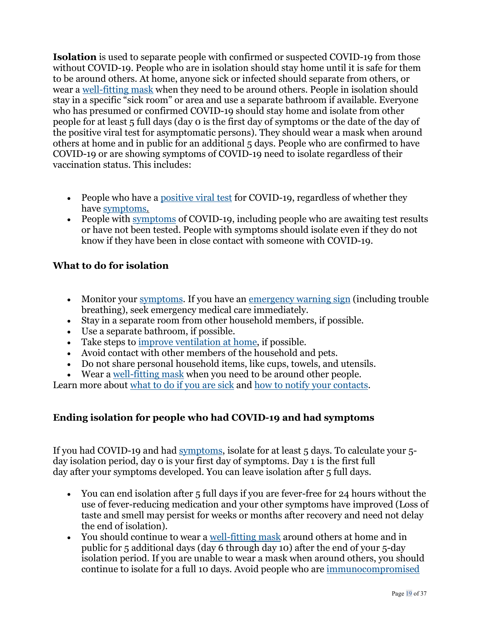**Isolation** is used to separate people with confirmed or suspected COVID-19 from those without COVID-19. People who are in isolation should stay home until it is safe for them to be around others. At home, anyone sick or infected should separate from others, or wear a [well-fitting mask](https://www.cdc.gov/coronavirus/2019-ncov/your-health/effective-masks.html) when they need to be around others. People in isolation should stay in a specific "sick room" or area and use a separate bathroom if available. Everyone who has presumed or confirmed COVID-19 should stay home and isolate from other people for at least 5 full days (day 0 is the first day of symptoms or the date of the day of the positive viral test for asymptomatic persons). They should wear a mask when around others at home and in public for an additional 5 days. People who are confirmed to have COVID-19 or are showing symptoms of COVID-19 need to isolate regardless of their vaccination status. This includes:

- People who have a [positive viral test](https://www.cdc.gov/coronavirus/2019-ncov/testing/diagnostic-testing.html) for COVID-19, regardless of whether they have [symptoms.](https://www.cdc.gov/coronavirus/2019-ncov/symptoms-testing/symptoms.html)
- People with [symptoms](https://www.cdc.gov/coronavirus/2019-ncov/symptoms-testing/symptoms.html) of COVID-19, including people who are awaiting test results or have not been tested. People with symptoms should isolate even if they do not know if they have been in close contact with someone with COVID-19.

# **What to do for isolation**

- Monitor your [symptoms.](https://www.cdc.gov/coronavirus/2019-ncov/symptoms-testing/symptoms.html) If you have an [emergency warning sign](https://www.cdc.gov/coronavirus/2019-ncov/symptoms-testing/symptoms.html#emergency-medical-attention) (including trouble breathing), seek emergency medical care immediately.
- Stay in a separate room from other household members, if possible.
- Use a separate bathroom, if possible.
- Take steps to [improve ventilation at home,](https://www.cdc.gov/coronavirus/2019-ncov/prevent-getting-sick/Improving-Ventilation-Home.html#:%7E:text=However%2C%20if%20a%20visitor%20needs,getting%20and%20spreading%20COVID%2D19.) if possible.
- Avoid contact with other members of the household and pets.
- Do not share personal household items, like cups, towels, and utensils.
- Wear a [well-fitting mask](https://www.cdc.gov/coronavirus/2019-ncov/your-health/effective-masks.html) when you need to be around other people.

Learn more about [what to do if you are sick](https://www.cdc.gov/coronavirus/2019-ncov/if-you-are-sick/steps-when-sick.html) and [how to notify your contacts.](https://www.cdc.gov/coronavirus/2019-ncov/daily-life-coping/contact-tracing.html)

### **Ending isolation for people who had COVID-19 and had symptoms**

If you had COVID-19 and had [symptoms,](https://www.cdc.gov/coronavirus/2019-ncov/symptoms-testing/symptoms.html) isolate for at least 5 days. To calculate your 5 day isolation period, day 0 is your first day of symptoms. Day 1 is the first full day after your symptoms developed. You can leave isolation after 5 full days.

- You can end isolation after 5 full days if you are fever-free for 24 hours without the use of fever-reducing medication and your other symptoms have improved (Loss of taste and smell may persist for weeks or months after recovery and need not delay the end of isolation).
- You should continue to wear a [well-fitting mask](https://www.cdc.gov/coronavirus/2019-ncov/your-health/effective-masks.html) around others at home and in public for 5 additional days (day 6 through day 10) after the end of your 5-day isolation period. If you are unable to wear a mask when around others, you should continue to isolate for a full 10 days. Avoid people who are [immunocompromised](https://www.cdc.gov/coronavirus/2019-ncov/need-extra-precautions/people-with-medical-conditions.html)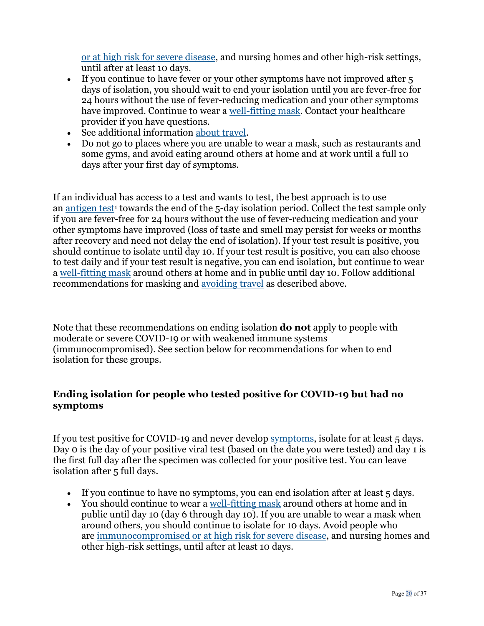[or at high risk for severe disease,](https://www.cdc.gov/coronavirus/2019-ncov/need-extra-precautions/people-with-medical-conditions.html) and nursing homes and other high-risk settings, until after at least 10 days.

- If you continue to have fever or your other symptoms have not improved after 5 days of isolation, you should wait to end your isolation until you are fever-free for 24 hours without the use of fever-reducing medication and your other symptoms have improved. Continue to wear a [well-fitting mask.](https://www.cdc.gov/coronavirus/2019-ncov/your-health/effective-masks.html) Contact your healthcare provider if you have questions.
- See additional information [about travel.](https://www.cdc.gov/coronavirus/2019-ncov/travelers/index.html#do-not-travel)
- Do not go to places where you are unable to wear a mask, such as restaurants and some gyms, and avoid eating around others at home and at work until a full 10 days after your first day of symptoms.

If an individual has access to a test and wants to test, the best approach is to use an antigen test<sup>1</sup> towards the end of the 5-day isolation period. Collect the test sample only if you are fever-free for 24 hours without the use of fever-reducing medication and your other symptoms have improved (loss of taste and smell may persist for weeks or months after recovery and need not delay the end of isolation). If your test result is positive, you should continue to isolate until day 10. If your test result is positive, you can also choose to test daily and if your test result is negative, you can end isolation, but continue to wear a [well-fitting mask](https://www.cdc.gov/coronavirus/2019-ncov/your-health/effective-masks.html) around others at home and in public until day 10. Follow additional recommendations for masking and [avoiding travel](https://www.cdc.gov/coronavirus/2019-ncov/travelers/index.html#do-not-travel) as described above.

Note that these recommendations on ending isolation **do not** apply to people with moderate or severe COVID-19 or with weakened immune systems (immunocompromised). See section below for recommendations for when to end isolation for these groups.

# **Ending isolation for people who tested positive for COVID-19 but had no symptoms**

If you test positive for COVID-19 and never develop [symptoms,](https://www.cdc.gov/coronavirus/2019-ncov/symptoms-testing/symptoms.html) isolate for at least 5 days. Day 0 is the day of your positive viral test (based on the date you were tested) and day 1 is the first full day after the specimen was collected for your positive test. You can leave isolation after 5 full days.

- If you continue to have no symptoms, you can end isolation after at least 5 days.
- You should continue to wear a [well-fitting mask](https://www.cdc.gov/coronavirus/2019-ncov/your-health/effective-masks.html) around others at home and in public until day 10 (day 6 through day 10). If you are unable to wear a mask when around others, you should continue to isolate for 10 days. Avoid people who are [immunocompromised or at high risk for severe disease,](https://www.cdc.gov/coronavirus/2019-ncov/need-extra-precautions/people-with-medical-conditions.html) and nursing homes and other high-risk settings, until after at least 10 days.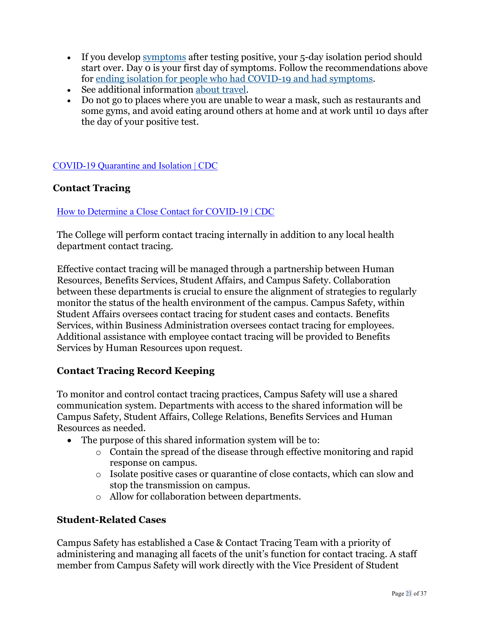- If you develop [symptoms](https://www.cdc.gov/coronavirus/2019-ncov/symptoms-testing/symptoms.html) after testing positive, your 5-day isolation period should start over. Day 0 is your first day of symptoms. Follow the recommendations above for [ending isolation for people who had COVID-19 and had symptoms.](https://www.cdc.gov/coronavirus/2019-ncov/travelers/index.html#do-not-travel)
- See additional information [about travel.](https://www.cdc.gov/coronavirus/2019-ncov/travelers/index.html#do-not-travel)
- Do not go to places where you are unable to wear a mask, such as restaurants and some gyms, and avoid eating around others at home and at work until 10 days after the day of your positive test.

[COVID-19 Quarantine and Isolation | CDC](https://www.cdc.gov/coronavirus/2019-ncov/your-health/quarantine-isolation.html#quarantine)

### **Contact Tracing**

#### [How to Determine a Close Contact for COVID-19 | CDC](https://www.cdc.gov/coronavirus/2019-ncov/daily-life-coping/determine-close-contacts.html)

The College will perform contact tracing internally in addition to any local health department contact tracing.

Effective contact tracing will be managed through a partnership between Human Resources, Benefits Services, Student Affairs, and Campus Safety. Collaboration between these departments is crucial to ensure the alignment of strategies to regularly monitor the status of the health environment of the campus. Campus Safety, within Student Affairs oversees contact tracing for student cases and contacts. Benefits Services, within Business Administration oversees contact tracing for employees. Additional assistance with employee contact tracing will be provided to Benefits Services by Human Resources upon request.

### **Contact Tracing Record Keeping**

To monitor and control contact tracing practices, Campus Safety will use a shared communication system. Departments with access to the shared information will be Campus Safety, Student Affairs, College Relations, Benefits Services and Human Resources as needed.

- The purpose of this shared information system will be to:
	- o Contain the spread of the disease through effective monitoring and rapid response on campus.
	- o Isolate positive cases or quarantine of close contacts, which can slow and stop the transmission on campus.
	- o Allow for collaboration between departments.

### **Student-Related Cases**

Campus Safety has established a Case & Contact Tracing Team with a priority of administering and managing all facets of the unit's function for contact tracing. A staff member from Campus Safety will work directly with the Vice President of Student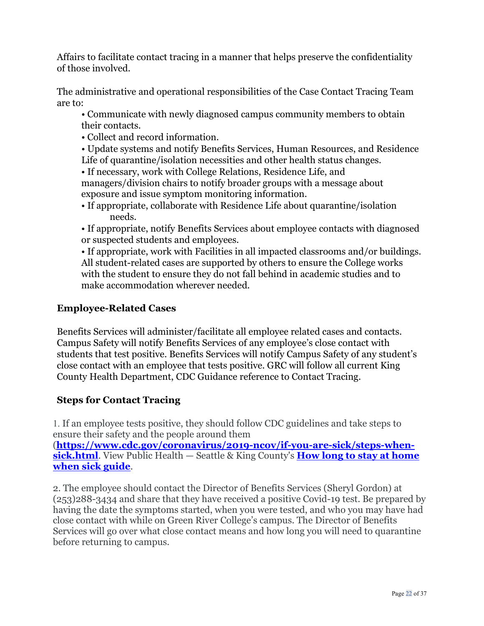Affairs to facilitate contact tracing in a manner that helps preserve the confidentiality of those involved.

The administrative and operational responsibilities of the Case Contact Tracing Team are to:

• Communicate with newly diagnosed campus community members to obtain their contacts.

• Collect and record information.

• Update systems and notify Benefits Services, Human Resources, and Residence Life of quarantine/isolation necessities and other health status changes.

• If necessary, work with College Relations, Residence Life, and managers/division chairs to notify broader groups with a message about exposure and issue symptom monitoring information.

• If appropriate, collaborate with Residence Life about quarantine/isolation needs.

• If appropriate, notify Benefits Services about employee contacts with diagnosed or suspected students and employees.

• If appropriate, work with Facilities in all impacted classrooms and/or buildings. All student-related cases are supported by others to ensure the College works with the student to ensure they do not fall behind in academic studies and to make accommodation wherever needed.

# **Employee-Related Cases**

Benefits Services will administer/facilitate all employee related cases and contacts. Campus Safety will notify Benefits Services of any employee's close contact with students that test positive. Benefits Services will notify Campus Safety of any student's close contact with an employee that tests positive. GRC will follow all current King County Health Department, CDC Guidance reference to Contact Tracing.

# **Steps for Contact Tracing**

1. If an employee tests positive, they should follow CDC guidelines and take steps to ensure their safety and the people around them

(**[https://www.cdc.gov/coronavirus/2019-ncov/if-you-are-sick/steps-when](https://nam12.safelinks.protection.outlook.com/?url=https%3A%2F%2Fwww.cdc.gov%2Fcoronavirus%2F2019-ncov%2Fif-you-are-sick%2Fsteps-when-sick.html.&data=04%7C01%7CPDenman%40greenriver.edu%7C7b9a3b0d9dcf4ddc159908d98cdd0c21%7Cfa40663e972749789bce776cf824bca5%7C0%7C0%7C637695703275525585%7CUnknown%7CTWFpbGZsb3d8eyJWIjoiMC4wLjAwMDAiLCJQIjoiV2luMzIiLCJBTiI6Ik1haWwiLCJXVCI6Mn0%3D%7C1000&sdata=tVl%2B3%2BhhWbid%2BIyWP23c9SxVxYyFE%2B3SbDjlveSkzQc%3D&reserved=0)[sick.html](https://nam12.safelinks.protection.outlook.com/?url=https%3A%2F%2Fwww.cdc.gov%2Fcoronavirus%2F2019-ncov%2Fif-you-are-sick%2Fsteps-when-sick.html.&data=04%7C01%7CPDenman%40greenriver.edu%7C7b9a3b0d9dcf4ddc159908d98cdd0c21%7Cfa40663e972749789bce776cf824bca5%7C0%7C0%7C637695703275525585%7CUnknown%7CTWFpbGZsb3d8eyJWIjoiMC4wLjAwMDAiLCJQIjoiV2luMzIiLCJBTiI6Ik1haWwiLCJXVCI6Mn0%3D%7C1000&sdata=tVl%2B3%2BhhWbid%2BIyWP23c9SxVxYyFE%2B3SbDjlveSkzQc%3D&reserved=0)**. View Public Health — Seattle & King County's **[How long to stay at home](https://www.greenriver.edu/media/content-assets/documents/campus/covid/how-long-to-stay-home-when-sick.pdf)  [when sick guide](https://www.greenriver.edu/media/content-assets/documents/campus/covid/how-long-to-stay-home-when-sick.pdf)**.

2. The employee should contact the Director of Benefits Services (Sheryl Gordon) at (253)288-3434 and share that they have received a positive Covid-19 test. Be prepared by having the date the symptoms started, when you were tested, and who you may have had close contact with while on Green River College's campus. The Director of Benefits Services will go over what close contact means and how long you will need to quarantine before returning to campus.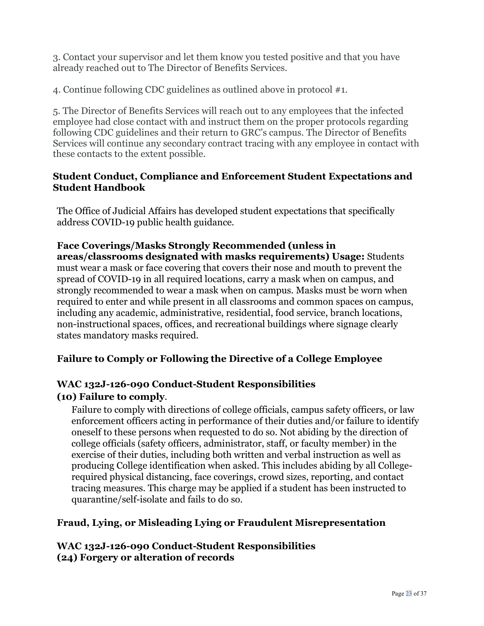3. Contact your supervisor and let them know you tested positive and that you have already reached out to The Director of Benefits Services.

4. Continue following CDC guidelines as outlined above in protocol #1.

5. The Director of Benefits Services will reach out to any employees that the infected employee had close contact with and instruct them on the proper protocols regarding following CDC guidelines and their return to GRC's campus. The Director of Benefits Services will continue any secondary contract tracing with any employee in contact with these contacts to the extent possible.

#### **Student Conduct, Compliance and Enforcement Student Expectations and Student Handbook**

The Office of Judicial Affairs has developed student expectations that specifically address COVID-19 public health guidance.

**Face Coverings/Masks Strongly Recommended (unless in areas/classrooms designated with masks requirements) Usage:** Students must wear a mask or face covering that covers their nose and mouth to prevent the spread of COVID-19 in all required locations, carry a mask when on campus, and strongly recommended to wear a mask when on campus. Masks must be worn when required to enter and while present in all classrooms and common spaces on campus, including any academic, administrative, residential, food service, branch locations, non-instructional spaces, offices, and recreational buildings where signage clearly states mandatory masks required.

### **Failure to Comply or Following the Directive of a College Employee**

# **WAC 132J-126-090 Conduct-Student Responsibilities (10) Failure to comply**.

Failure to comply with directions of college officials, campus safety officers, or law enforcement officers acting in performance of their duties and/or failure to identify oneself to these persons when requested to do so. Not abiding by the direction of college officials (safety officers, administrator, staff, or faculty member) in the exercise of their duties, including both written and verbal instruction as well as producing College identification when asked. This includes abiding by all Collegerequired physical distancing, face coverings, crowd sizes, reporting, and contact tracing measures. This charge may be applied if a student has been instructed to quarantine/self-isolate and fails to do so.

### **Fraud, Lying, or Misleading Lying or Fraudulent Misrepresentation**

#### **WAC 132J-126-090 Conduct-Student Responsibilities (24) Forgery or alteration of records**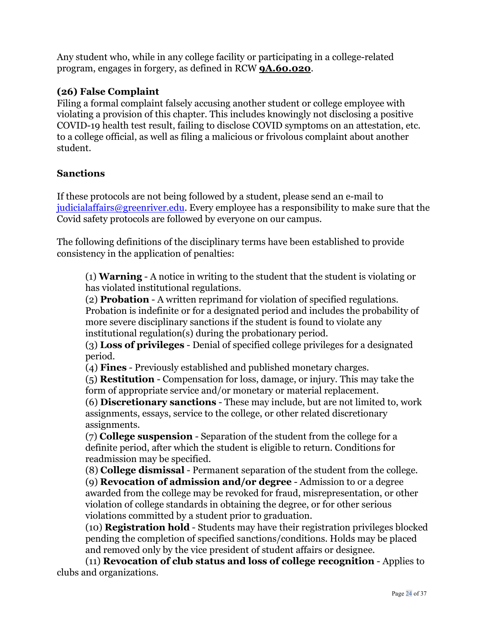Any student who, while in any college facility or participating in a college-related program, engages in forgery, as defined in RCW **[9A.60.020](http://app.leg.wa.gov/RCW/default.aspx?cite=9A.60.020)**.

# **(26) False Complaint**

Filing a formal complaint falsely accusing another student or college employee with violating a provision of this chapter. This includes knowingly not disclosing a positive COVID-19 health test result, failing to disclose COVID symptoms on an attestation, etc. to a college official, as well as filing a malicious or frivolous complaint about another student.

### **Sanctions**

If these protocols are not being followed by a student, please send an e-mail to [judicialaffairs@greenriver.edu.](mailto:judicialaffairs@greenriver.edu) Every employee has a responsibility to make sure that the Covid safety protocols are followed by everyone on our campus.

The following definitions of the disciplinary terms have been established to provide consistency in the application of penalties:

(1) **Warning** - A notice in writing to the student that the student is violating or has violated institutional regulations.

(2) **Probation** - A written reprimand for violation of specified regulations. Probation is indefinite or for a designated period and includes the probability of more severe disciplinary sanctions if the student is found to violate any institutional regulation(s) during the probationary period.

(3) **Loss of privileges** - Denial of specified college privileges for a designated period.

(4) **Fines** - Previously established and published monetary charges.

(5) **Restitution** - Compensation for loss, damage, or injury. This may take the form of appropriate service and/or monetary or material replacement.

(6) **Discretionary sanctions** - These may include, but are not limited to, work assignments, essays, service to the college, or other related discretionary assignments.

(7) **College suspension** - Separation of the student from the college for a definite period, after which the student is eligible to return. Conditions for readmission may be specified.

(8) **College dismissal** - Permanent separation of the student from the college. (9) **Revocation of admission and/or degree** - Admission to or a degree awarded from the college may be revoked for fraud, misrepresentation, or other violation of college standards in obtaining the degree, or for other serious violations committed by a student prior to graduation.

(10) **Registration hold** - Students may have their registration privileges blocked pending the completion of specified sanctions/conditions. Holds may be placed and removed only by the vice president of student affairs or designee.

(11) **Revocation of club status and loss of college recognition** - Applies to clubs and organizations.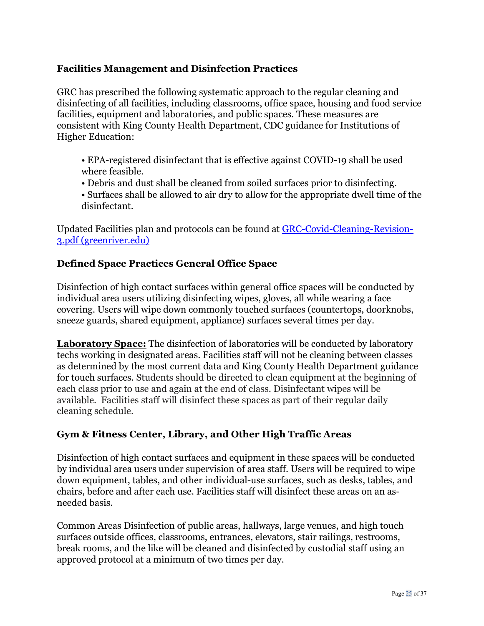### **Facilities Management and Disinfection Practices**

GRC has prescribed the following systematic approach to the regular cleaning and disinfecting of all facilities, including classrooms, office space, housing and food service facilities, equipment and laboratories, and public spaces. These measures are consistent with King County Health Department, CDC guidance for Institutions of Higher Education:

- EPA-registered disinfectant that is effective against COVID-19 shall be used where feasible.
- Debris and dust shall be cleaned from soiled surfaces prior to disinfecting.
- Surfaces shall be allowed to air dry to allow for the appropriate dwell time of the disinfectant.

Updated Facilities plan and protocols can be found at [GRC-Covid-Cleaning-Revision-](https://www.greenriver.edu/media/content-assets/documents/campus/GRC-Covid-Cleaning-Revision-3.pdf)[3.pdf \(greenriver.edu\)](https://www.greenriver.edu/media/content-assets/documents/campus/GRC-Covid-Cleaning-Revision-3.pdf)

### **Defined Space Practices General Office Space**

Disinfection of high contact surfaces within general office spaces will be conducted by individual area users utilizing disinfecting wipes, gloves, all while wearing a face covering. Users will wipe down commonly touched surfaces (countertops, doorknobs, sneeze guards, shared equipment, appliance) surfaces several times per day.

**Laboratory Space:** The disinfection of laboratories will be conducted by laboratory techs working in designated areas. Facilities staff will not be cleaning between classes as determined by the most current data and King County Health Department guidance for touch surfaces. Students should be directed to clean equipment at the beginning of each class prior to use and again at the end of class. Disinfectant wipes will be available. Facilities staff will disinfect these spaces as part of their regular daily cleaning schedule.

### **Gym & Fitness Center, Library, and Other High Traffic Areas**

Disinfection of high contact surfaces and equipment in these spaces will be conducted by individual area users under supervision of area staff. Users will be required to wipe down equipment, tables, and other individual-use surfaces, such as desks, tables, and chairs, before and after each use. Facilities staff will disinfect these areas on an asneeded basis.

Common Areas Disinfection of public areas, hallways, large venues, and high touch surfaces outside offices, classrooms, entrances, elevators, stair railings, restrooms, break rooms, and the like will be cleaned and disinfected by custodial staff using an approved protocol at a minimum of two times per day.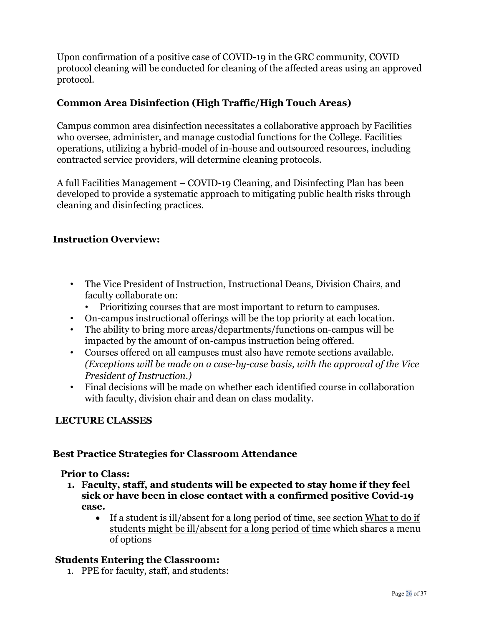Upon confirmation of a positive case of COVID-19 in the GRC community, COVID protocol cleaning will be conducted for cleaning of the affected areas using an approved protocol.

# **Common Area Disinfection (High Traffic/High Touch Areas)**

Campus common area disinfection necessitates a collaborative approach by Facilities who oversee, administer, and manage custodial functions for the College. Facilities operations, utilizing a hybrid-model of in-house and outsourced resources, including contracted service providers, will determine cleaning protocols.

A full Facilities Management – COVID-19 Cleaning, and Disinfecting Plan has been developed to provide a systematic approach to mitigating public health risks through cleaning and disinfecting practices.

### **Instruction Overview:**

- The Vice President of Instruction, Instructional Deans, Division Chairs, and faculty collaborate on:
	- Prioritizing courses that are most important to return to campuses.
- On-campus instructional offerings will be the top priority at each location.
- The ability to bring more areas/departments/functions on-campus will be impacted by the amount of on-campus instruction being offered.
- Courses offered on all campuses must also have remote sections available. *(Exceptions will be made on a case-by-case basis, with the approval of the Vice President of Instruction.)*
- Final decisions will be made on whether each identified course in collaboration with faculty, division chair and dean on class modality.

### **LECTURE CLASSES**

### **Best Practice Strategies for Classroom Attendance**

### **Prior to Class:**

- **1. Faculty, staff, and students will be expected to stay home if they feel sick or have been in close contact with a confirmed positive Covid-19 case.**
	- If a student is ill/absent for a long period of time, see section What to do if students might be ill/absent for a long period of time which shares a menu of options

### **Students Entering the Classroom:**

1. PPE for faculty, staff, and students: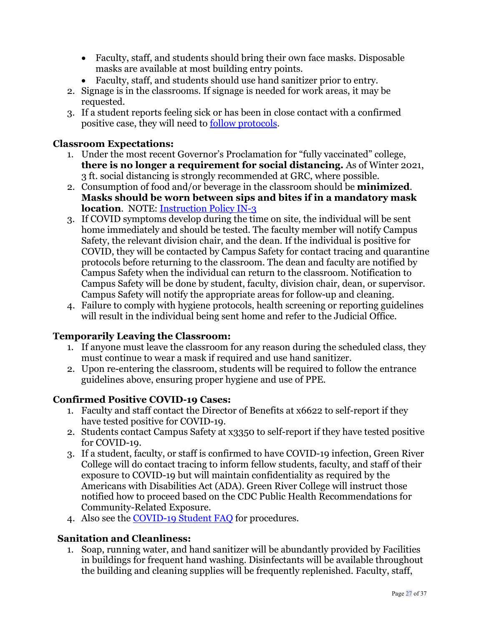- Faculty, staff, and students should bring their own face masks. Disposable masks are available at most building entry points.
- Faculty, staff, and students should use hand sanitizer prior to entry.
- 2. Signage is in the classrooms. If signage is needed for work areas, it may be requested.
- 3. If a student reports feeling sick or has been in close contact with a confirmed positive case, they will need to **follow protocols**.

#### **Classroom Expectations:**

- 1. Under the most recent Governor's Proclamation for "fully vaccinated" college, **there is no longer a requirement for social distancing.** As of Winter 2021, 3 ft. social distancing is strongly recommended at GRC, where possible.
- 2. Consumption of food and/or beverage in the classroom should be **minimized**. **Masks should be worn between sips and bites if in a mandatory mask location**. NOTE: [Instruction Policy IN-3](https://www.greenriver.edu/campus/policies-and-procedures/instruction-policies/in-3-classrooms-food-and-drink/)
- 3. If COVID symptoms develop during the time on site, the individual will be sent home immediately and should be tested. The faculty member will notify Campus Safety, the relevant division chair, and the dean. If the individual is positive for COVID, they will be contacted by Campus Safety for contact tracing and quarantine protocols before returning to the classroom. The dean and faculty are notified by Campus Safety when the individual can return to the classroom. Notification to Campus Safety will be done by student, faculty, division chair, dean, or supervisor. Campus Safety will notify the appropriate areas for follow-up and cleaning.
- 4. Failure to comply with hygiene protocols, health screening or reporting guidelines will result in the individual being sent home and refer to the Judicial Office.

#### **Temporarily Leaving the Classroom:**

- 1. If anyone must leave the classroom for any reason during the scheduled class, they must continue to wear a mask if required and use hand sanitizer.
- 2. Upon re-entering the classroom, students will be required to follow the entrance guidelines above, ensuring proper hygiene and use of PPE.

#### **Confirmed Positive COVID-19 Cases:**

- 1. Faculty and staff contact the Director of Benefits at x6622 to self-report if they have tested positive for COVID-19.
- 2. Students contact Campus Safety at x3350 to self-report if they have tested positive for COVID-19.
- 3. If a student, faculty, or staff is confirmed to have COVID-19 infection, Green River College will do contact tracing to inform fellow students, faculty, and staff of their exposure to COVID-19 but will maintain confidentiality as required by the Americans with Disabilities Act (ADA). Green River College will instruct those notified how to proceed based on the CDC Public Health Recommendations for Community-Related Exposure.
- 4. Also see the [COVID-19 Student FAQ](https://www.greenriver.edu/campus/campus-safety/emergency-preparedness/covid19/student-faq/) for procedures.

### **Sanitation and Cleanliness:**

1. Soap, running water, and hand sanitizer will be abundantly provided by Facilities in buildings for frequent hand washing. Disinfectants will be available throughout the building and cleaning supplies will be frequently replenished. Faculty, staff,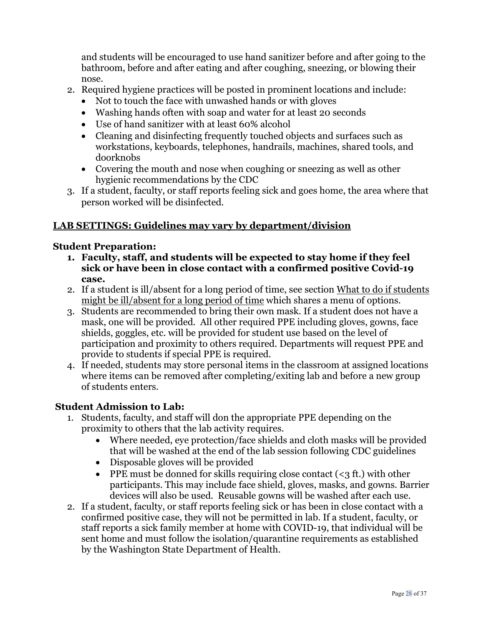and students will be encouraged to use hand sanitizer before and after going to the bathroom, before and after eating and after coughing, sneezing, or blowing their nose.

- 2. Required hygiene practices will be posted in prominent locations and include:
	- Not to touch the face with unwashed hands or with gloves
	- Washing hands often with soap and water for at least 20 seconds
	- Use of hand sanitizer with at least 60% alcohol
	- Cleaning and disinfecting frequently touched objects and surfaces such as workstations, keyboards, telephones, handrails, machines, shared tools, and doorknobs
	- Covering the mouth and nose when coughing or sneezing as well as other hygienic recommendations by the CDC
- 3. If a student, faculty, or staff reports feeling sick and goes home, the area where that person worked will be disinfected.

# **LAB SETTINGS: Guidelines may vary by department/division**

### **Student Preparation:**

- **1. Faculty, staff, and students will be expected to stay home if they feel sick or have been in close contact with a confirmed positive Covid-19 case.**
- 2. If a student is ill/absent for a long period of time, see section What to do if students might be ill/absent for a long period of time which shares a menu of options.
- 3. Students are recommended to bring their own mask. If a student does not have a mask, one will be provided. All other required PPE including gloves, gowns, face shields, goggles, etc. will be provided for student use based on the level of participation and proximity to others required. Departments will request PPE and provide to students if special PPE is required.
- 4. If needed, students may store personal items in the classroom at assigned locations where items can be removed after completing/exiting lab and before a new group of students enters.

#### **Student Admission to Lab:**

- 1. Students, faculty, and staff will don the appropriate PPE depending on the proximity to others that the lab activity requires.
	- Where needed, eye protection/face shields and cloth masks will be provided that will be washed at the end of the lab session following CDC guidelines
	- Disposable gloves will be provided
	- PPE must be donned for skills requiring close contact  $( $3 \text{ ft.}$ )$  with other participants. This may include face shield, gloves, masks, and gowns. Barrier devices will also be used. Reusable gowns will be washed after each use.
- 2. If a student, faculty, or staff reports feeling sick or has been in close contact with a confirmed positive case, they will not be permitted in lab. If a student, faculty, or staff reports a sick family member at home with COVID-19, that individual will be sent home and must follow the isolation/quarantine requirements as established by the Washington State Department of Health.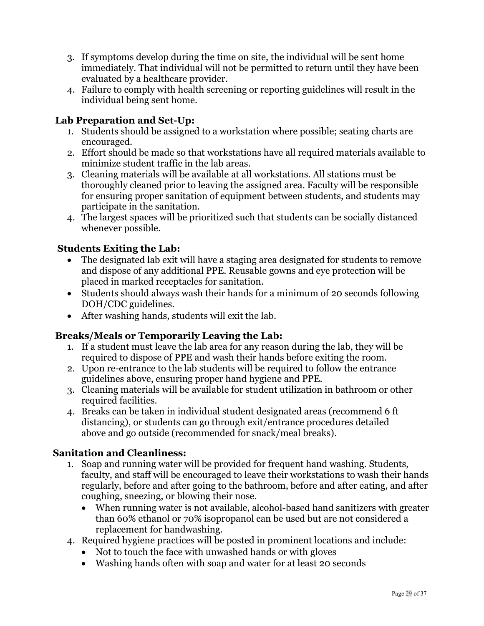- 3. If symptoms develop during the time on site, the individual will be sent home immediately. That individual will not be permitted to return until they have been evaluated by a healthcare provider.
- 4. Failure to comply with health screening or reporting guidelines will result in the individual being sent home.

#### **Lab Preparation and Set-Up:**

- 1. Students should be assigned to a workstation where possible; seating charts are encouraged.
- 2. Effort should be made so that workstations have all required materials available to minimize student traffic in the lab areas.
- 3. Cleaning materials will be available at all workstations. All stations must be thoroughly cleaned prior to leaving the assigned area. Faculty will be responsible for ensuring proper sanitation of equipment between students, and students may participate in the sanitation.
- 4. The largest spaces will be prioritized such that students can be socially distanced whenever possible.

#### **Students Exiting the Lab:**

- The designated lab exit will have a staging area designated for students to remove and dispose of any additional PPE. Reusable gowns and eye protection will be placed in marked receptacles for sanitation.
- Students should always wash their hands for a minimum of 20 seconds following DOH/CDC guidelines.
- After washing hands, students will exit the lab.

### **Breaks/Meals or Temporarily Leaving the Lab:**

- 1. If a student must leave the lab area for any reason during the lab, they will be required to dispose of PPE and wash their hands before exiting the room.
- 2. Upon re-entrance to the lab students will be required to follow the entrance guidelines above, ensuring proper hand hygiene and PPE.
- 3. Cleaning materials will be available for student utilization in bathroom or other required facilities.
- 4. Breaks can be taken in individual student designated areas (recommend 6 ft distancing), or students can go through exit/entrance procedures detailed above and go outside (recommended for snack/meal breaks).

#### **Sanitation and Cleanliness:**

- 1. Soap and running water will be provided for frequent hand washing. Students, faculty, and staff will be encouraged to leave their workstations to wash their hands regularly, before and after going to the bathroom, before and after eating, and after coughing, sneezing, or blowing their nose.
	- When running water is not available, alcohol-based hand sanitizers with greater than 60% ethanol or 70% isopropanol can be used but are not considered a replacement for handwashing.
- 4. Required hygiene practices will be posted in prominent locations and include:
	- Not to touch the face with unwashed hands or with gloves
	- Washing hands often with soap and water for at least 20 seconds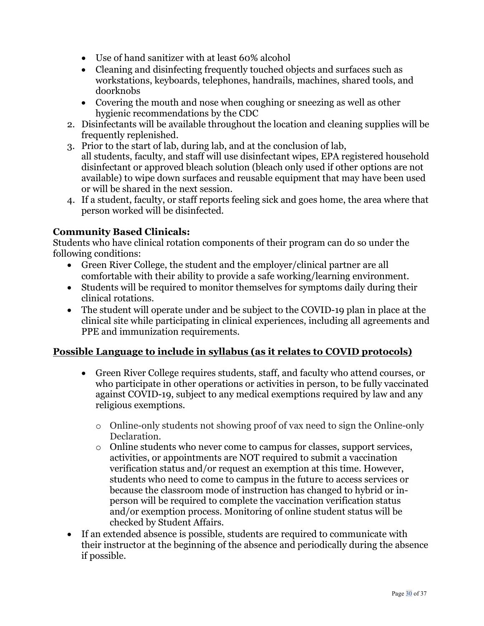- Use of hand sanitizer with at least 60% alcohol
- Cleaning and disinfecting frequently touched objects and surfaces such as workstations, keyboards, telephones, handrails, machines, shared tools, and doorknobs
- Covering the mouth and nose when coughing or sneezing as well as other hygienic recommendations by the CDC
- 2. Disinfectants will be available throughout the location and cleaning supplies will be frequently replenished.
- 3. Prior to the start of lab, during lab, and at the conclusion of lab, all students, faculty, and staff will use disinfectant wipes, EPA registered household disinfectant or approved bleach solution (bleach only used if other options are not available) to wipe down surfaces and reusable equipment that may have been used or will be shared in the next session.
- 4. If a student, faculty, or staff reports feeling sick and goes home, the area where that person worked will be disinfected.

### **Community Based Clinicals:**

Students who have clinical rotation components of their program can do so under the following conditions:

- Green River College, the student and the employer/clinical partner are all comfortable with their ability to provide a safe working/learning environment.
- Students will be required to monitor themselves for symptoms daily during their clinical rotations.
- The student will operate under and be subject to the COVID-19 plan in place at the clinical site while participating in clinical experiences, including all agreements and PPE and immunization requirements.

### **Possible Language to include in syllabus (as it relates to COVID protocols)**

- Green River College requires students, staff, and faculty who attend courses, or who participate in other operations or activities in person, to be fully vaccinated against COVID-19, subject to any medical exemptions required by law and any religious exemptions.
	- o Online-only students not showing proof of vax need to sign the Online-only Declaration.
	- o Online students who never come to campus for classes, support services, activities, or appointments are NOT required to submit a vaccination verification status and/or request an exemption at this time. However, students who need to come to campus in the future to access services or because the classroom mode of instruction has changed to hybrid or inperson will be required to complete the vaccination verification status and/or exemption process. Monitoring of online student status will be checked by Student Affairs.
- If an extended absence is possible, students are required to communicate with their instructor at the beginning of the absence and periodically during the absence if possible.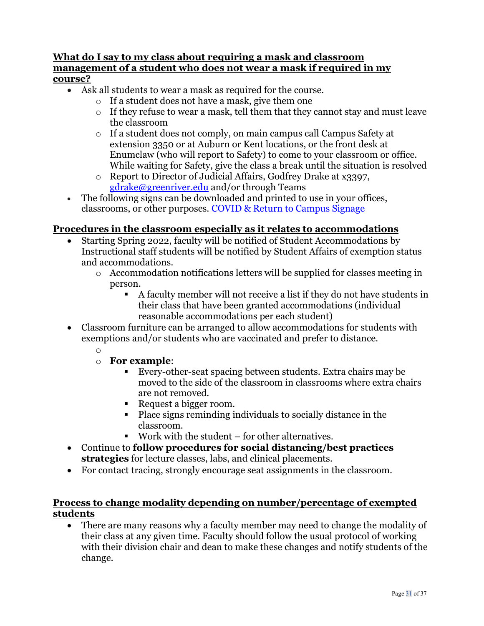#### **What do I say to my class about requiring a mask and classroom management of a student who does not wear a mask if required in my course?**

- Ask all students to wear a mask as required for the course.
	- o If a student does not have a mask, give them one
	- o If they refuse to wear a mask, tell them that they cannot stay and must leave the classroom
	- $\circ$  If a student does not comply, on main campus call Campus Safety at extension 3350 or at Auburn or Kent locations, or the front desk at Enumclaw (who will report to Safety) to come to your classroom or office. While waiting for Safety, give the class a break until the situation is resolved
	- o Report to Director of Judicial Affairs, Godfrey Drake at x3397, [gdrake@greenriver.edu](mailto:gdrake@greenriver.edu) and/or through Teams
- The following signs can be downloaded and printed to use in your offices, classrooms, or other purposes. COVID & Return to [Campus](https://nam12.safelinks.protection.outlook.com/?url=https%3A%2F%2Fgreenriveredu.sharepoint.com%2Fsites%2FGN-Reopening%2FSitePages%2FCOVID-Signage.aspx&data=04%7C01%7CREzeonu%40greenriver.edu%7Cf2bbde4ae5aa445a68c208d9747632f2%7Cfa40663e972749789bce776cf824bca5%7C0%7C0%7C637668873340410749%7CUnknown%7CTWFpbGZsb3d8eyJWIjoiMC4wLjAwMDAiLCJQIjoiV2luMzIiLCJBTiI6Ik1haWwiLCJXVCI6Mn0%3D%7C1000&sdata=U20Nn2Iu9f6TNNHkO8o8C3YiqC30%2BYXeYHqxXZ4U66I%3D&reserved=0) Signage

#### **Procedures in the classroom especially as it relates to accommodations**

- Starting Spring 2022, faculty will be notified of Student Accommodations by Instructional staff students will be notified by Student Affairs of exemption status and accommodations.
	- o Accommodation notifications letters will be supplied for classes meeting in person.
		- A faculty member will not receive a list if they do not have students in their class that have been granted accommodations (individual reasonable accommodations per each student)
- Classroom furniture can be arranged to allow accommodations for students with exemptions and/or students who are vaccinated and prefer to distance.
	- o
	- o **For example**:
		- Every-other-seat spacing between students. Extra chairs may be moved to the side of the classroom in classrooms where extra chairs are not removed.
		- Request a bigger room.
		- Place signs reminding individuals to socially distance in the classroom.
		- Work with the student  $-$  for other alternatives.
- Continue to **follow procedures for social distancing/best practices strategies** for lecture classes, labs, and clinical placements.
- For contact tracing, strongly encourage seat assignments in the classroom.

#### **Process to change modality depending on number/percentage of exempted students**

• There are many reasons why a faculty member may need to change the modality of their class at any given time. Faculty should follow the usual protocol of working with their division chair and dean to make these changes and notify students of the change.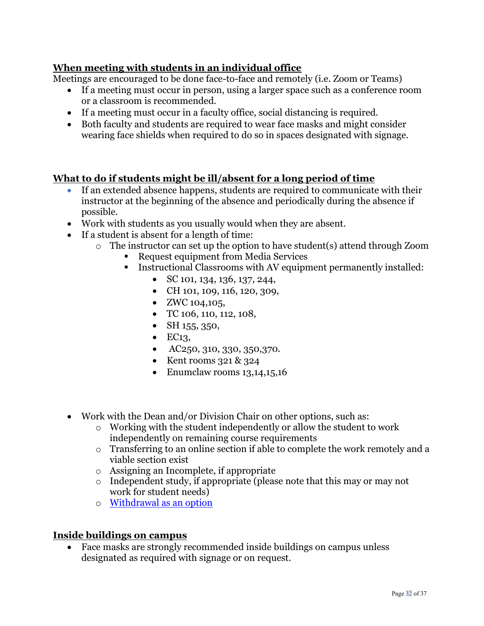# **When meeting with students in an individual office**

Meetings are encouraged to be done face-to-face and remotely (i.e. Zoom or Teams)

- If a meeting must occur in person, using a larger space such as a conference room or a classroom is recommended.
- If a meeting must occur in a faculty office, social distancing is required.
- Both faculty and students are required to wear face masks and might consider wearing face shields when required to do so in spaces designated with signage.

# **What to do if students might be ill/absent for a long period of time**

- If an extended absence happens, students are required to communicate with their instructor at the beginning of the absence and periodically during the absence if possible.
- Work with students as you usually would when they are absent.
- If a student is absent for a length of time:
	- o The instructor can set up the option to have student(s) attend through Zoom
		- Request equipment from Media Services
		- **Instructional Classrooms with AV equipment permanently installed:** 
			- SC 101, 134, 136, 137, 244,
			- CH 101, 109, 116, 120, 309,
			- ZWC 104,105,
			- TC 106, 110, 112, 108,
			- SH 155, 350,
			- $\bullet$  EC13,
			- AC250, 310, 330, 350, 370.
			- Kent rooms  $321 \& 324$
			- Enumclaw rooms 13,14,15,16
- Work with the Dean and/or Division Chair on other options, such as:
	- o Working with the student independently or allow the student to work independently on remaining course requirements
	- o Transferring to an online section if able to complete the work remotely and a viable section exist
	- o Assigning an Incomplete, if appropriate
	- o Independent study, if appropriate (please note that this may or may not work for student needs)
	- o [Withdrawal as an option](https://www.greenriver.edu/students/academics/enrollment-services/registration/withdrawal-refund-rules/)

### **Inside buildings on campus**

• Face masks are strongly recommended inside buildings on campus unless designated as required with signage or on request.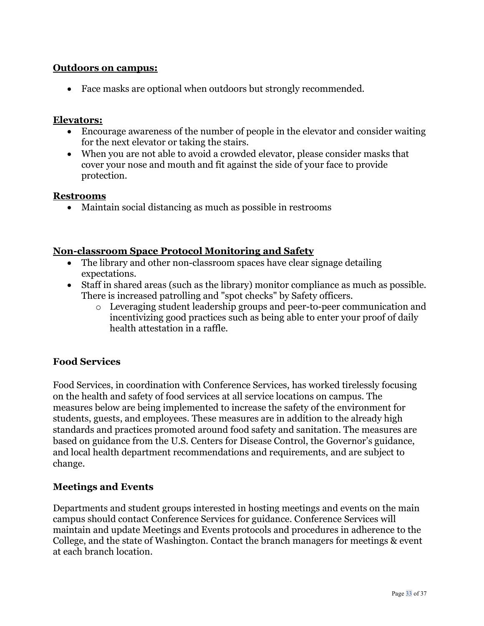#### **Outdoors on campus:**

• Face masks are optional when outdoors but strongly recommended.

#### **Elevators:**

- Encourage awareness of the number of people in the elevator and consider waiting for the next elevator or taking the stairs.
- When you are not able to avoid a crowded elevator, please consider masks that cover your nose and mouth and fit against the side of your face to provide protection.

#### **Restrooms**

• Maintain social distancing as much as possible in restrooms

#### **Non-classroom Space Protocol Monitoring and Safety**

- The library and other non-classroom spaces have clear signage detailing expectations.
- Staff in shared areas (such as the library) monitor compliance as much as possible. There is increased patrolling and "spot checks" by Safety officers.
	- Leveraging student leadership groups and peer-to-peer communication and incentivizing good practices such as being able to enter your proof of daily health attestation in a raffle.

#### **Food Services**

Food Services, in coordination with Conference Services, has worked tirelessly focusing on the health and safety of food services at all service locations on campus. The measures below are being implemented to increase the safety of the environment for students, guests, and employees. These measures are in addition to the already high standards and practices promoted around food safety and sanitation. The measures are based on guidance from the U.S. Centers for Disease Control, the Governor's guidance, and local health department recommendations and requirements, and are subject to change.

#### **Meetings and Events**

Departments and student groups interested in hosting meetings and events on the main campus should contact Conference Services for guidance. Conference Services will maintain and update Meetings and Events protocols and procedures in adherence to the College, and the state of Washington. Contact the branch managers for meetings & event at each branch location.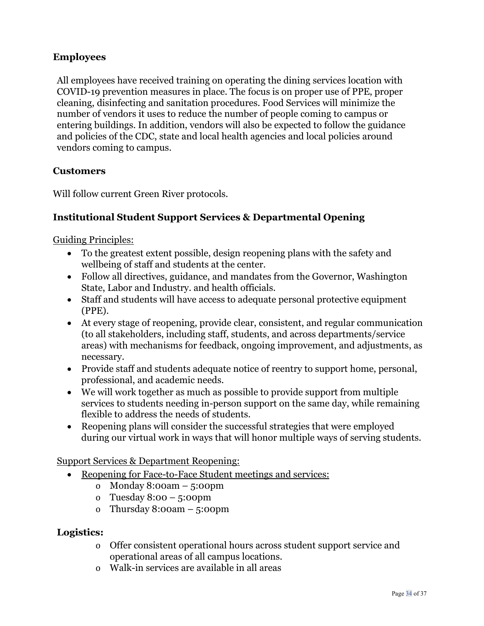### **Employees**

All employees have received training on operating the dining services location with COVID-19 prevention measures in place. The focus is on proper use of PPE, proper cleaning, disinfecting and sanitation procedures. Food Services will minimize the number of vendors it uses to reduce the number of people coming to campus or entering buildings. In addition, vendors will also be expected to follow the guidance and policies of the CDC, state and local health agencies and local policies around vendors coming to campus.

#### **Customers**

Will follow current Green River protocols.

### **Institutional Student Support Services & Departmental Opening**

Guiding Principles:

- To the greatest extent possible, design reopening plans with the safety and wellbeing of staff and students at the center.
- Follow all directives, guidance, and mandates from the Governor, Washington State, Labor and Industry. and health officials.
- Staff and students will have access to adequate personal protective equipment (PPE).
- At every stage of reopening, provide clear, consistent, and regular communication (to all stakeholders, including staff, students, and across departments/service areas) with mechanisms for feedback, ongoing improvement, and adjustments, as necessary.
- Provide staff and students adequate notice of reentry to support home, personal, professional, and academic needs.
- We will work together as much as possible to provide support from multiple services to students needing in-person support on the same day, while remaining flexible to address the needs of students.
- Reopening plans will consider the successful strategies that were employed during our virtual work in ways that will honor multiple ways of serving students.

Support Services & Department Reopening:

- Reopening for Face-to-Face Student meetings and services:
	- o Monday 8:00am 5:00pm
	- o Tuesday 8:00 5:00pm
	- o Thursday 8:00am 5:00pm

#### **Logistics:**

- o Offer consistent operational hours across student support service and operational areas of all campus locations.
- o Walk-in services are available in all areas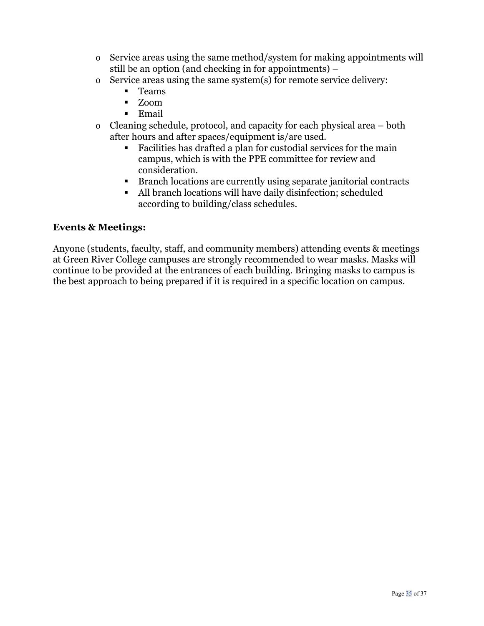- o Service areas using the same method/system for making appointments will still be an option (and checking in for appointments) –
- o Service areas using the same system(s) for remote service delivery:<br> $\blacksquare$ 
	- Teams
	- Zoom
	- **Email**
- o Cleaning schedule, protocol, and capacity for each physical area both after hours and after spaces/equipment is/are used.
	- Facilities has drafted a plan for custodial services for the main campus, which is with the PPE committee for review and consideration.
	- Branch locations are currently using separate janitorial contracts
	- All branch locations will have daily disinfection; scheduled according to building/class schedules.

#### **Events & Meetings:**

Anyone (students, faculty, staff, and community members) attending events & meetings at Green River College campuses are strongly recommended to wear masks. Masks will continue to be provided at the entrances of each building. Bringing masks to campus is the best approach to being prepared if it is required in a specific location on campus.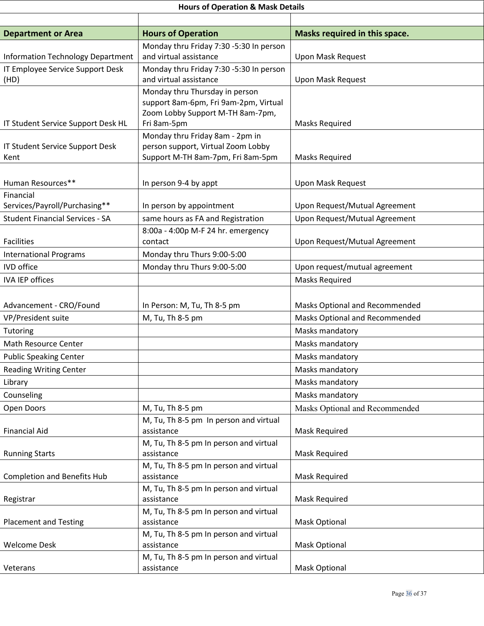# **Hours of Operation & Mask Details**

٦

| <b>Department or Area</b>                | <b>Hours of Operation</b>                                             | Masks required in this space.  |
|------------------------------------------|-----------------------------------------------------------------------|--------------------------------|
|                                          | Monday thru Friday 7:30 -5:30 In person                               |                                |
| <b>Information Technology Department</b> | and virtual assistance                                                | Upon Mask Request              |
| IT Employee Service Support Desk         | Monday thru Friday 7:30 -5:30 In person                               |                                |
| (HD)                                     | and virtual assistance                                                | Upon Mask Request              |
|                                          | Monday thru Thursday in person                                        |                                |
|                                          | support 8am-6pm, Fri 9am-2pm, Virtual                                 |                                |
|                                          | Zoom Lobby Support M-TH 8am-7pm,                                      |                                |
| IT Student Service Support Desk HL       | Fri 8am-5pm                                                           | <b>Masks Required</b>          |
| IT Student Service Support Desk          | Monday thru Friday 8am - 2pm in<br>person support, Virtual Zoom Lobby |                                |
| Kent                                     | Support M-TH 8am-7pm, Fri 8am-5pm                                     | <b>Masks Required</b>          |
|                                          |                                                                       |                                |
| Human Resources**                        | In person 9-4 by appt                                                 | <b>Upon Mask Request</b>       |
| Financial                                |                                                                       |                                |
| Services/Payroll/Purchasing**            | In person by appointment                                              | Upon Request/Mutual Agreement  |
| <b>Student Financial Services - SA</b>   | same hours as FA and Registration                                     | Upon Request/Mutual Agreement  |
|                                          | 8:00a - 4:00p M-F 24 hr. emergency                                    |                                |
| <b>Facilities</b>                        | contact                                                               | Upon Request/Mutual Agreement  |
| <b>International Programs</b>            | Monday thru Thurs 9:00-5:00                                           |                                |
| <b>IVD</b> office                        | Monday thru Thurs 9:00-5:00                                           | Upon request/mutual agreement  |
| <b>IVA IEP offices</b>                   |                                                                       | <b>Masks Required</b>          |
|                                          |                                                                       |                                |
| Advancement - CRO/Found                  | In Person: M, Tu, Th 8-5 pm                                           | Masks Optional and Recommended |
| VP/President suite                       | M, Tu, Th 8-5 pm                                                      | Masks Optional and Recommended |
|                                          |                                                                       |                                |
| Tutoring                                 |                                                                       | Masks mandatory                |
| Math Resource Center                     |                                                                       | Masks mandatory                |
| <b>Public Speaking Center</b>            |                                                                       | Masks mandatory                |
| <b>Reading Writing Center</b>            |                                                                       | <b>Masks mandatory</b>         |
| Library                                  |                                                                       | Masks mandatory                |
| Counseling                               |                                                                       | Masks mandatory                |
| Open Doors                               | M, Tu, Th 8-5 pm                                                      | Masks Optional and Recommended |
|                                          | M, Tu, Th 8-5 pm In person and virtual                                |                                |
| <b>Financial Aid</b>                     | assistance                                                            | <b>Mask Required</b>           |
|                                          | M, Tu, Th 8-5 pm In person and virtual                                |                                |
| <b>Running Starts</b>                    | assistance                                                            | Mask Required                  |
|                                          | M, Tu, Th 8-5 pm In person and virtual                                |                                |
| <b>Completion and Benefits Hub</b>       | assistance                                                            | Mask Required                  |
|                                          | M, Tu, Th 8-5 pm In person and virtual                                |                                |
| Registrar                                | assistance                                                            | Mask Required                  |
| <b>Placement and Testing</b>             | M, Tu, Th 8-5 pm In person and virtual<br>assistance                  | <b>Mask Optional</b>           |
|                                          | M, Tu, Th 8-5 pm In person and virtual                                |                                |
| <b>Welcome Desk</b>                      | assistance                                                            | <b>Mask Optional</b>           |
|                                          | M, Tu, Th 8-5 pm In person and virtual                                |                                |
| Veterans                                 | assistance                                                            | <b>Mask Optional</b>           |
|                                          |                                                                       |                                |